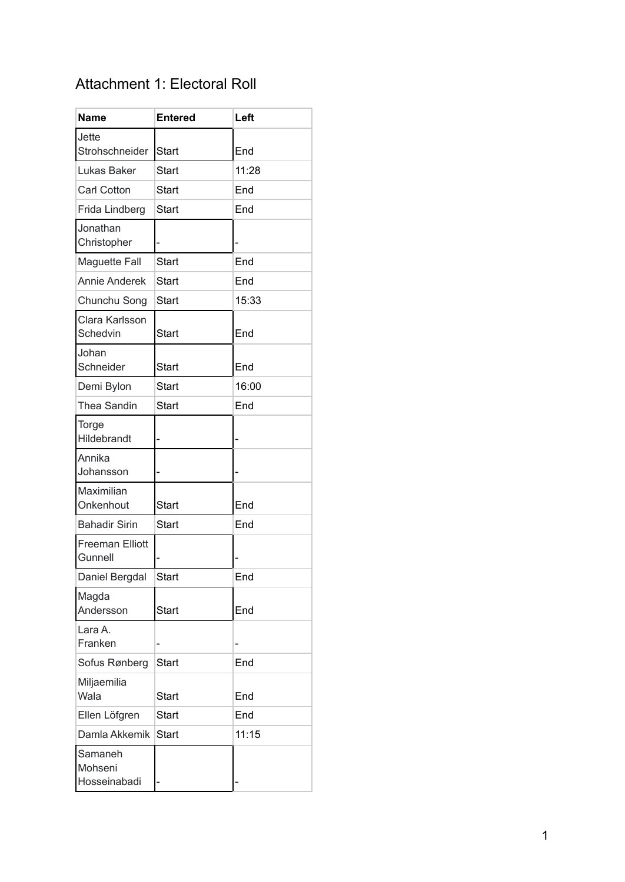# Attachment 1: Electoral Roll

| <b>Name</b>                        | <b>Entered</b> | Left  |
|------------------------------------|----------------|-------|
| Jette<br>Strohschneider            | <b>Start</b>   | End   |
| Lukas Baker                        | <b>Start</b>   | 11:28 |
| <b>Carl Cotton</b>                 | Start          | End   |
| Frida Lindberg                     | <b>Start</b>   | End   |
| Jonathan<br>Christopher            |                |       |
| <b>Maguette Fall</b>               | <b>Start</b>   | End   |
| <b>Annie Anderek</b>               | Start          | End   |
| Chunchu Song                       | <b>Start</b>   | 15:33 |
| Clara Karlsson<br>Schedvin         | <b>Start</b>   | End   |
| Johan<br>Schneider                 | <b>Start</b>   | End   |
| Demi Bylon                         | <b>Start</b>   | 16:00 |
| <b>Thea Sandin</b>                 | <b>Start</b>   | End   |
| Torge<br>Hildebrandt               |                |       |
| Annika<br>Johansson                |                |       |
| Maximilian<br>Onkenhout            | <b>Start</b>   | End   |
| <b>Bahadir Sirin</b>               | <b>Start</b>   | End   |
| <b>Freeman Elliott</b><br>Gunnell  |                |       |
| Daniel Bergdal                     | <b>Start</b>   | End   |
| Magda<br>Andersson                 | <b>Start</b>   | End   |
| Lara A.<br>Franken                 | -              |       |
| Sofus Rønberg                      | <b>Start</b>   | End   |
| Miljaemilia<br>Wala                | <b>Start</b>   | End   |
| Ellen Löfgren                      | <b>Start</b>   | End   |
| Damla Akkemik                      | <b>Start</b>   | 11:15 |
| Samaneh<br>Mohseni<br>Hosseinabadi |                |       |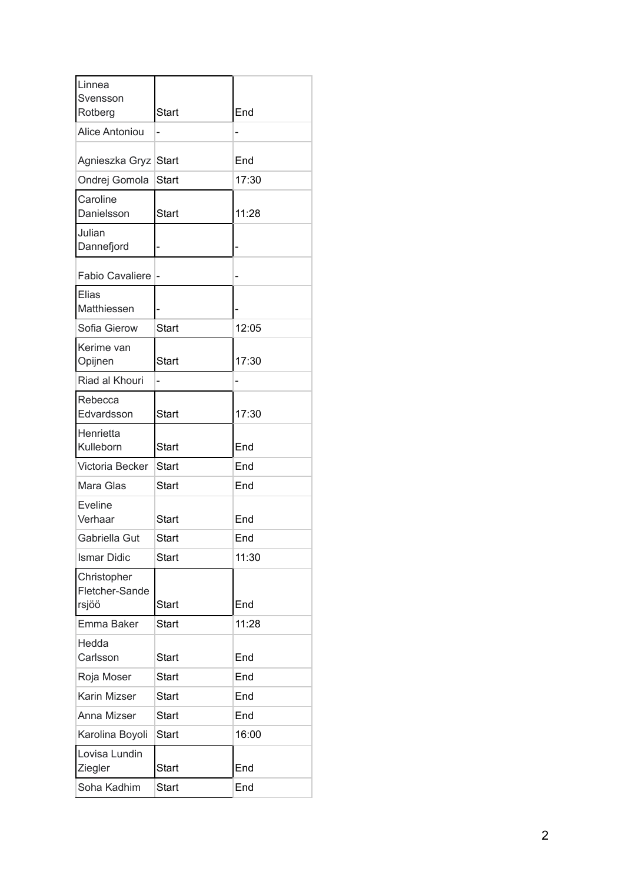| Linnea                                 |              |       |
|----------------------------------------|--------------|-------|
| Svensson<br>Rotberg                    | Start        | End   |
| <b>Alice Antoniou</b>                  | -            |       |
|                                        |              |       |
| Agnieszka Gryz                         | <b>Start</b> | End   |
| Ondrej Gomola                          | <b>Start</b> | 17:30 |
| Caroline<br>Danielsson                 | Start        | 11:28 |
| Julian<br>Dannefjord                   |              |       |
| <b>Fabio Cavaliere</b>                 | ı —          |       |
| Elias<br>Matthiessen                   |              |       |
| Sofia Gierow                           | Start        | 12:05 |
| Kerime van<br>Opijnen                  | <b>Start</b> | 17:30 |
| Riad al Khouri                         |              |       |
| Rebecca                                |              |       |
| Edvardsson                             | Start        | 17:30 |
| Henrietta<br>Kulleborn                 | <b>Start</b> | End   |
| Victoria Becker                        | Start        | End   |
| Mara Glas                              | Start        | End   |
| Eveline<br>Verhaar                     | Start        | End   |
| Gabriella Gut                          | Start        | End   |
| <b>Ismar Didic</b>                     | <b>Start</b> | 11:30 |
| Christopher<br>Fletcher-Sande<br>rsjöö | <b>Start</b> | End   |
| Emma Baker                             | Start        | 11:28 |
| Hedda<br>Carlsson                      | <b>Start</b> | End   |
| Roja Moser                             | Start        | End   |
| Karin Mizser                           | <b>Start</b> | End   |
| Anna Mizser                            | Start        | End   |
| Karolina Boyoli                        | Start        | 16:00 |
| Lovisa Lundin<br>Ziegler               | <b>Start</b> | End   |
| Soha Kadhim                            | Start        | End   |
|                                        |              |       |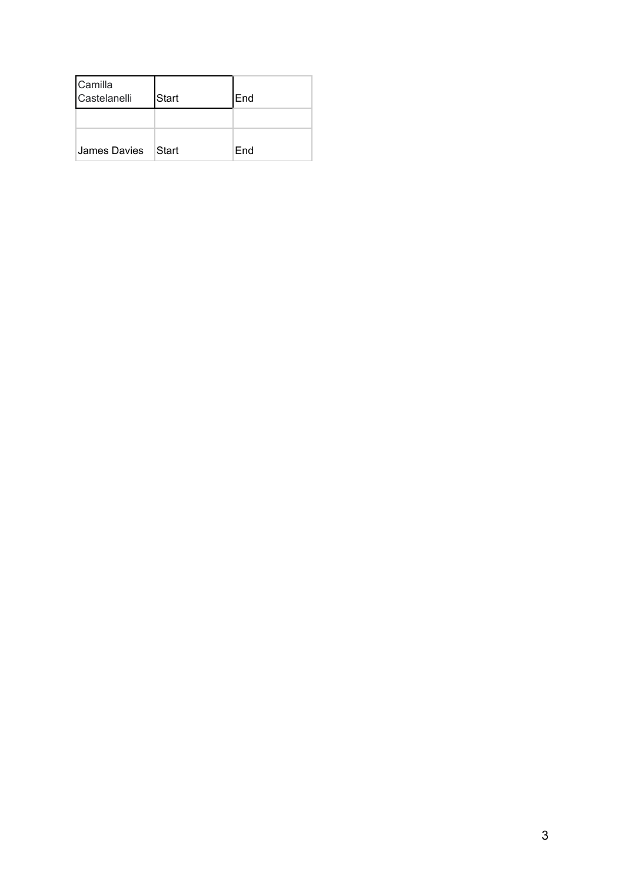| Camilla<br>Castelanelli | <b>S</b> tart | End |
|-------------------------|---------------|-----|
|                         |               |     |
| James Davies            | Start         | End |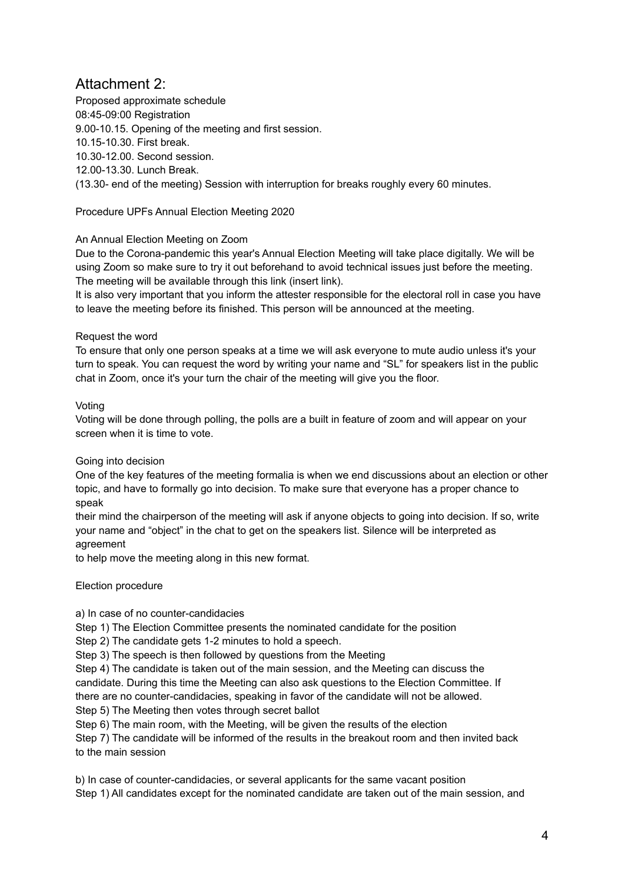# Attachment 2:

Proposed approximate schedule 08:45-09:00 Registration 9.00-10.15. Opening of the meeting and first session. 10.15-10.30. First break. 10.30-12.00. Second session. 12.00-13.30. Lunch Break. (13.30- end of the meeting) Session with interruption for breaks roughly every 60 minutes.

Procedure UPFs Annual Election Meeting 2020

# An Annual Election Meeting on Zoom

Due to the Corona-pandemic this year's Annual Election Meeting will take place digitally. We will be using Zoom so make sure to try it out beforehand to avoid technical issues just before the meeting. The meeting will be available through this link (insert link).

It is also very important that you inform the attester responsible for the electoral roll in case you have to leave the meeting before its finished. This person will be announced at the meeting.

# Request the word

To ensure that only one person speaks at a time we will ask everyone to mute audio unless it's your turn to speak. You can request the word by writing your name and "SL" for speakers list in the public chat in Zoom, once it's your turn the chair of the meeting will give you the floor.

# Voting

Voting will be done through polling, the polls are a built in feature of zoom and will appear on your screen when it is time to vote.

# Going into decision

One of the key features of the meeting formalia is when we end discussions about an election or other topic, and have to formally go into decision. To make sure that everyone has a proper chance to speak

their mind the chairperson of the meeting will ask if anyone objects to going into decision. If so, write your name and "object" in the chat to get on the speakers list. Silence will be interpreted as agreement

to help move the meeting along in this new format.

# Election procedure

# a) In case of no counter-candidacies

Step 1) The Election Committee presents the nominated candidate for the position

Step 2) The candidate gets 1-2 minutes to hold a speech.

Step 3) The speech is then followed by questions from the Meeting

Step 4) The candidate is taken out of the main session, and the Meeting can discuss the candidate. During this time the Meeting can also ask questions to the Election Committee. If there are no counter-candidacies, speaking in favor of the candidate will not be allowed. Step 5) The Meeting then votes through secret ballot

Step 6) The main room, with the Meeting, will be given the results of the election

Step 7) The candidate will be informed of the results in the breakout room and then invited back to the main session

b) In case of counter-candidacies, or several applicants for the same vacant position Step 1) All candidates except for the nominated candidate are taken out of the main session, and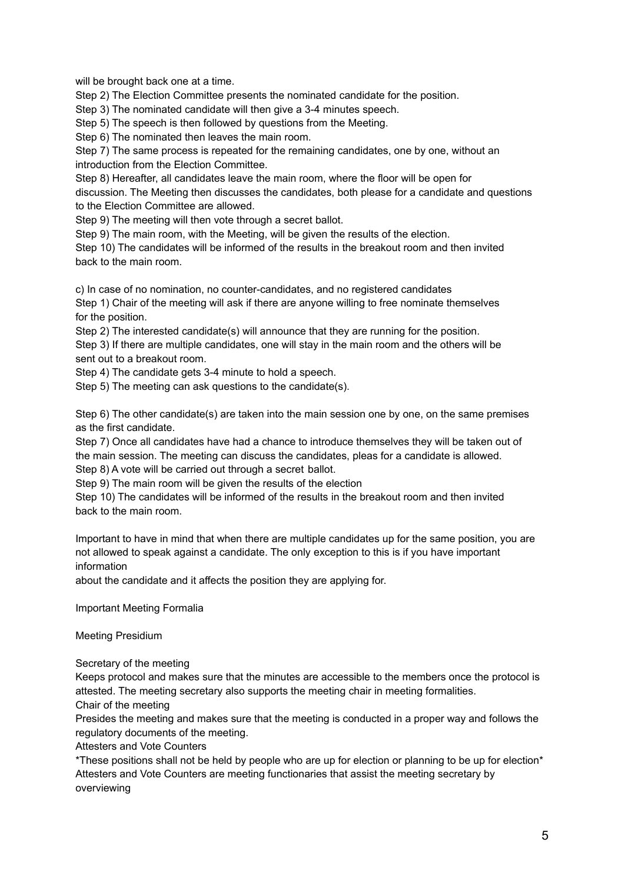will be brought back one at a time.

Step 2) The Election Committee presents the nominated candidate for the position.

Step 3) The nominated candidate will then give a 3-4 minutes speech.

Step 5) The speech is then followed by questions from the Meeting.

Step 6) The nominated then leaves the main room.

Step 7) The same process is repeated for the remaining candidates, one by one, without an introduction from the Election Committee.

Step 8) Hereafter, all candidates leave the main room, where the floor will be open for discussion. The Meeting then discusses the candidates, both please for a candidate and questions to the Election Committee are allowed.

Step 9) The meeting will then vote through a secret ballot.

Step 9) The main room, with the Meeting, will be given the results of the election.

Step 10) The candidates will be informed of the results in the breakout room and then invited back to the main room.

c) In case of no nomination, no counter-candidates, and no registered candidates

Step 1) Chair of the meeting will ask if there are anyone willing to free nominate themselves for the position.

Step 2) The interested candidate(s) will announce that they are running for the position.

Step 3) If there are multiple candidates, one will stay in the main room and the others will be sent out to a breakout room.

Step 4) The candidate gets 3-4 minute to hold a speech.

Step 5) The meeting can ask questions to the candidate(s).

Step 6) The other candidate(s) are taken into the main session one by one, on the same premises as the first candidate.

Step 7) Once all candidates have had a chance to introduce themselves they will be taken out of the main session. The meeting can discuss the candidates, pleas for a candidate is allowed. Step 8) A vote will be carried out through a secret ballot.

Step 9) The main room will be given the results of the election

Step 10) The candidates will be informed of the results in the breakout room and then invited back to the main room.

Important to have in mind that when there are multiple candidates up for the same position, you are not allowed to speak against a candidate. The only exception to this is if you have important information

about the candidate and it affects the position they are applying for.

Important Meeting Formalia

Meeting Presidium

Secretary of the meeting

Keeps protocol and makes sure that the minutes are accessible to the members once the protocol is attested. The meeting secretary also supports the meeting chair in meeting formalities.

Chair of the meeting

Presides the meeting and makes sure that the meeting is conducted in a proper way and follows the regulatory documents of the meeting.

Attesters and Vote Counters

\*These positions shall not be held by people who are up for election or planning to be up for election\* Attesters and Vote Counters are meeting functionaries that assist the meeting secretary by overviewing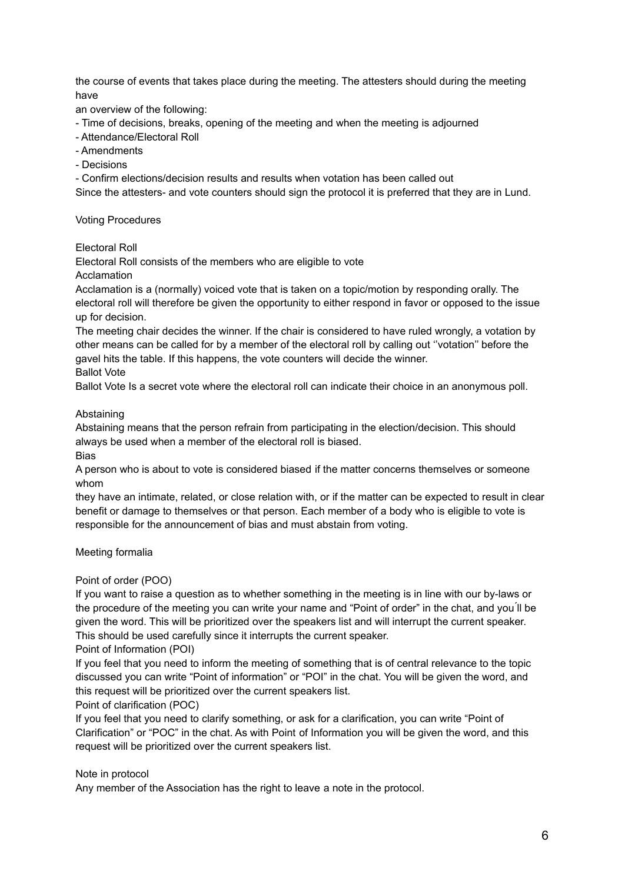the course of events that takes place during the meeting. The attesters should during the meeting have

an overview of the following:

- Time of decisions, breaks, opening of the meeting and when the meeting is adjourned
- Attendance/Electoral Roll
- Amendments
- Decisions

- Confirm elections/decision results and results when votation has been called out

Since the attesters- and vote counters should sign the protocol it is preferred that they are in Lund.

# Voting Procedures

Electoral Roll

Electoral Roll consists of the members who are eligible to vote

Acclamation

Acclamation is a (normally) voiced vote that is taken on a topic/motion by responding orally. The electoral roll will therefore be given the opportunity to either respond in favor or opposed to the issue up for decision.

The meeting chair decides the winner. If the chair is considered to have ruled wrongly, a votation by other means can be called for by a member of the electoral roll by calling out ''votation'' before the gavel hits the table. If this happens, the vote counters will decide the winner.

Ballot Vote

Ballot Vote Is a secret vote where the electoral roll can indicate their choice in an anonymous poll.

# Abstaining

Abstaining means that the person refrain from participating in the election/decision. This should always be used when a member of the electoral roll is biased.

Bias

A person who is about to vote is considered biased if the matter concerns themselves or someone whom

they have an intimate, related, or close relation with, or if the matter can be expected to result in clear benefit or damage to themselves or that person. Each member of a body who is eligible to vote is responsible for the announcement of bias and must abstain from voting.

Meeting formalia

# Point of order (POO)

If you want to raise a question as to whether something in the meeting is in line with our by-laws or the procedure of the meeting you can write your name and "Point of order" in the chat, and you ́ll be given the word. This will be prioritized over the speakers list and will interrupt the current speaker. This should be used carefully since it interrupts the current speaker.

# Point of Information (POI)

If you feel that you need to inform the meeting of something that is of central relevance to the topic discussed you can write "Point of information" or "POI" in the chat. You will be given the word, and this request will be prioritized over the current speakers list.

# Point of clarification (POC)

If you feel that you need to clarify something, or ask for a clarification, you can write "Point of Clarification" or "POC" in the chat. As with Point of Information you will be given the word, and this request will be prioritized over the current speakers list.

# Note in protocol

Any member of the Association has the right to leave a note in the protocol.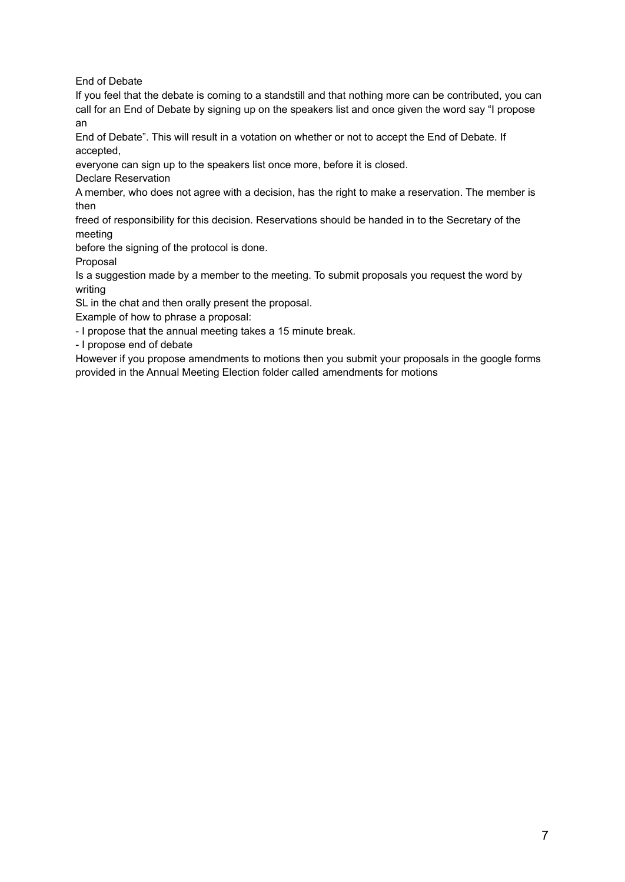End of Debate

If you feel that the debate is coming to a standstill and that nothing more can be contributed, you can call for an End of Debate by signing up on the speakers list and once given the word say "I propose an

End of Debate". This will result in a votation on whether or not to accept the End of Debate. If accepted,

everyone can sign up to the speakers list once more, before it is closed.

Declare Reservation

A member, who does not agree with a decision, has the right to make a reservation. The member is then

freed of responsibility for this decision. Reservations should be handed in to the Secretary of the meeting

before the signing of the protocol is done.

Proposal

Is a suggestion made by a member to the meeting. To submit proposals you request the word by writing

SL in the chat and then orally present the proposal.

Example of how to phrase a proposal:

- I propose that the annual meeting takes a 15 minute break.

- I propose end of debate

However if you propose amendments to motions then you submit your proposals in the google forms provided in the Annual Meeting Election folder called amendments for motions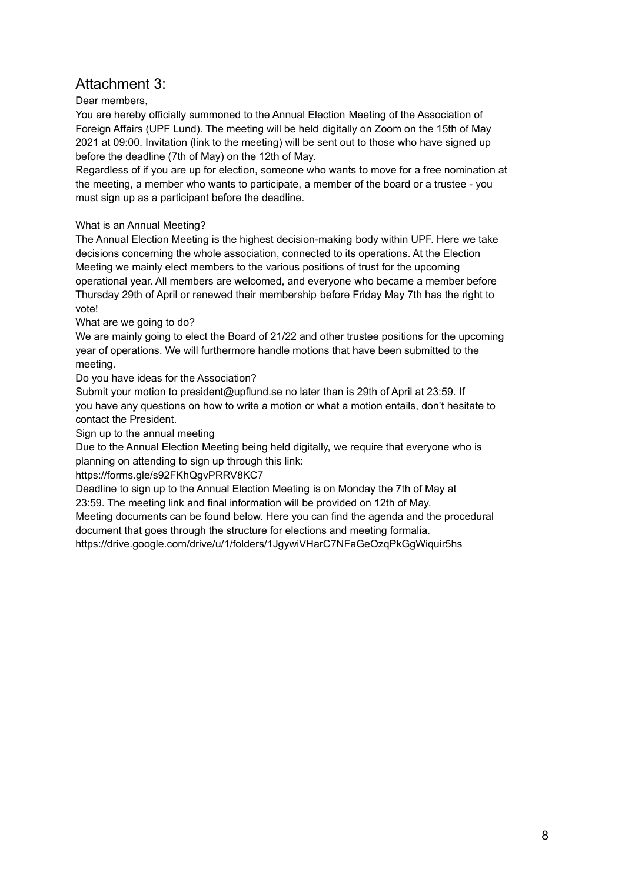# Attachment 3:

# Dear members,

You are hereby officially summoned to the Annual Election Meeting of the Association of Foreign Affairs (UPF Lund). The meeting will be held digitally on Zoom on the 15th of May 2021 at 09:00. Invitation (link to the meeting) will be sent out to those who have signed up before the deadline (7th of May) on the 12th of May.

Regardless of if you are up for election, someone who wants to move for a free nomination at the meeting, a member who wants to participate, a member of the board or a trustee - you must sign up as a participant before the deadline.

# What is an Annual Meeting?

The Annual Election Meeting is the highest decision-making body within UPF. Here we take decisions concerning the whole association, connected to its operations. At the Election Meeting we mainly elect members to the various positions of trust for the upcoming operational year. All members are welcomed, and everyone who became a member before Thursday 29th of April or renewed their membership before Friday May 7th has the right to vote!

# What are we going to do?

We are mainly going to elect the Board of 21/22 and other trustee positions for the upcoming year of operations. We will furthermore handle motions that have been submitted to the meeting.

Do you have ideas for the Association?

Submit your motion to president@upflund.se no later than is 29th of April at 23:59. If you have any questions on how to write a motion or what a motion entails, don't hesitate to contact the President.

Sign up to the annual meeting

Due to the Annual Election Meeting being held digitally, we require that everyone who is planning on attending to sign up through this link:

https://forms.gle/s92FKhQgvPRRV8KC7

Deadline to sign up to the Annual Election Meeting is on Monday the 7th of May at 23:59. The meeting link and final information will be provided on 12th of May.

Meeting documents can be found below. Here you can find the agenda and the procedural document that goes through the structure for elections and meeting formalia.

https://drive.google.com/drive/u/1/folders/1JgywiVHarC7NFaGeOzqPkGgWiquir5hs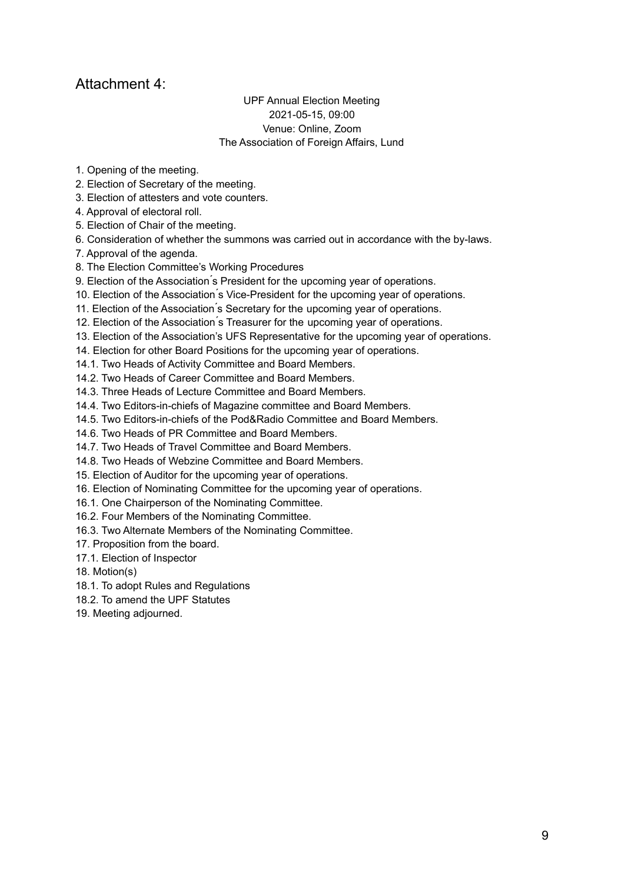# Attachment 4:

# UPF Annual Election Meeting 2021-05-15, 09:00 Venue: Online, Zoom The Association of Foreign Affairs, Lund

- 1. Opening of the meeting.
- 2. Election of Secretary of the meeting.
- 3. Election of attesters and vote counters.
- 4. Approval of electoral roll.
- 5. Election of Chair of the meeting.
- 6. Consideration of whether the summons was carried out in accordance with the by-laws.
- 7. Approval of the agenda.
- 8. The Election Committee's Working Procedures
- 9. Election of the Association's President for the upcoming year of operations.
- 10. Election of the Association s Vice-President for the upcoming year of operations.
- 11. Election of the Association ́s Secretary for the upcoming year of operations.
- 12. Election of the Association's Treasurer for the upcoming year of operations.
- 13. Election of the Association's UFS Representative for the upcoming year of operations.
- 14. Election for other Board Positions for the upcoming year of operations.
- 14.1. Two Heads of Activity Committee and Board Members.
- 14.2. Two Heads of Career Committee and Board Members.
- 14.3. Three Heads of Lecture Committee and Board Members.
- 14.4. Two Editors-in-chiefs of Magazine committee and Board Members.
- 14.5. Two Editors-in-chiefs of the Pod&Radio Committee and Board Members.
- 14.6. Two Heads of PR Committee and Board Members.
- 14.7. Two Heads of Travel Committee and Board Members.
- 14.8. Two Heads of Webzine Committee and Board Members.
- 15. Election of Auditor for the upcoming year of operations.
- 16. Election of Nominating Committee for the upcoming year of operations.
- 16.1. One Chairperson of the Nominating Committee.
- 16.2. Four Members of the Nominating Committee.
- 16.3. Two Alternate Members of the Nominating Committee.
- 17. Proposition from the board.
- 17.1. Election of Inspector
- 18. Motion(s)
- 18.1. To adopt Rules and Regulations
- 18.2. To amend the UPF Statutes
- 19. Meeting adjourned.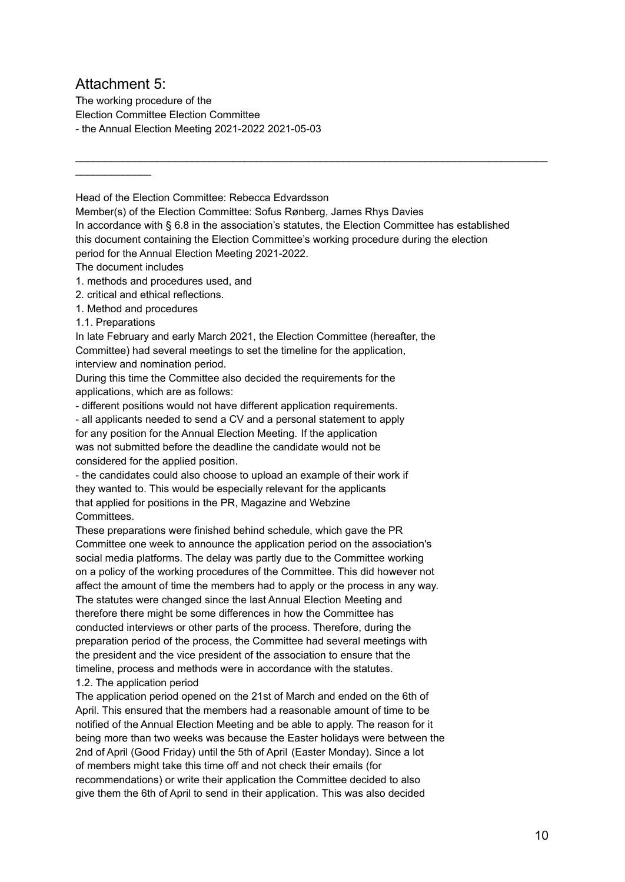# Attachment 5:

 $\frac{1}{2}$  ,  $\frac{1}{2}$  ,  $\frac{1}{2}$  ,  $\frac{1}{2}$  ,  $\frac{1}{2}$  ,  $\frac{1}{2}$  ,  $\frac{1}{2}$ 

The working procedure of the Election Committee Election Committee - the Annual Election Meeting 2021-2022 2021-05-03

Head of the Election Committee: Rebecca Edvardsson

Member(s) of the Election Committee: Sofus Rønberg, James Rhys Davies In accordance with § 6.8 in the association's statutes, the Election Committee has established this document containing the Election Committee's working procedure during the election period for the Annual Election Meeting 2021-2022.

 $\mathcal{L}_\mathcal{L} = \{ \mathcal{L}_\mathcal{L} = \{ \mathcal{L}_\mathcal{L} = \{ \mathcal{L}_\mathcal{L} = \{ \mathcal{L}_\mathcal{L} = \{ \mathcal{L}_\mathcal{L} = \{ \mathcal{L}_\mathcal{L} = \{ \mathcal{L}_\mathcal{L} = \{ \mathcal{L}_\mathcal{L} = \{ \mathcal{L}_\mathcal{L} = \{ \mathcal{L}_\mathcal{L} = \{ \mathcal{L}_\mathcal{L} = \{ \mathcal{L}_\mathcal{L} = \{ \mathcal{L}_\mathcal{L} = \{ \mathcal{L}_\mathcal{$ 

The document includes

1. methods and procedures used, and

- 2. critical and ethical reflections.
- 1. Method and procedures
- 1.1. Preparations

In late February and early March 2021, the Election Committee (hereafter, the Committee) had several meetings to set the timeline for the application, interview and nomination period.

During this time the Committee also decided the requirements for the applications, which are as follows:

- different positions would not have different application requirements.

- all applicants needed to send a CV and a personal statement to apply for any position for the Annual Election Meeting. If the application was not submitted before the deadline the candidate would not be considered for the applied position.

- the candidates could also choose to upload an example of their work if they wanted to. This would be especially relevant for the applicants that applied for positions in the PR, Magazine and Webzine Committees.

These preparations were finished behind schedule, which gave the PR Committee one week to announce the application period on the association's social media platforms. The delay was partly due to the Committee working on a policy of the working procedures of the Committee. This did however not affect the amount of time the members had to apply or the process in any way. The statutes were changed since the last Annual Election Meeting and therefore there might be some differences in how the Committee has conducted interviews or other parts of the process. Therefore, during the preparation period of the process, the Committee had several meetings with the president and the vice president of the association to ensure that the timeline, process and methods were in accordance with the statutes.

# 1.2. The application period

The application period opened on the 21st of March and ended on the 6th of April. This ensured that the members had a reasonable amount of time to be notified of the Annual Election Meeting and be able to apply. The reason for it being more than two weeks was because the Easter holidays were between the 2nd of April (Good Friday) until the 5th of April (Easter Monday). Since a lot of members might take this time off and not check their emails (for recommendations) or write their application the Committee decided to also give them the 6th of April to send in their application. This was also decided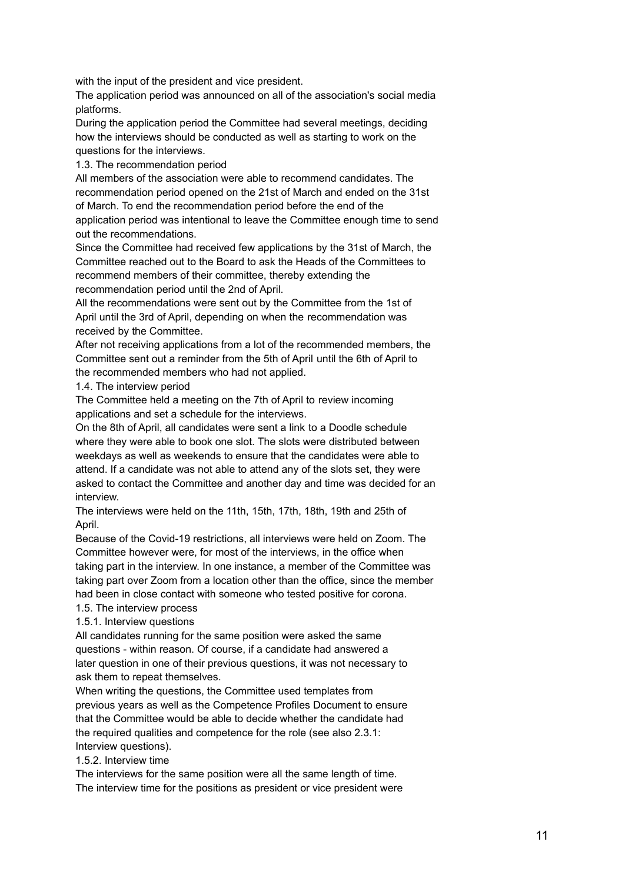with the input of the president and vice president.

The application period was announced on all of the association's social media platforms.

During the application period the Committee had several meetings, deciding how the interviews should be conducted as well as starting to work on the questions for the interviews.

1.3. The recommendation period

All members of the association were able to recommend candidates. The recommendation period opened on the 21st of March and ended on the 31st of March. To end the recommendation period before the end of the application period was intentional to leave the Committee enough time to send out the recommendations.

Since the Committee had received few applications by the 31st of March, the Committee reached out to the Board to ask the Heads of the Committees to recommend members of their committee, thereby extending the recommendation period until the 2nd of April.

All the recommendations were sent out by the Committee from the 1st of April until the 3rd of April, depending on when the recommendation was received by the Committee.

After not receiving applications from a lot of the recommended members, the Committee sent out a reminder from the 5th of April until the 6th of April to the recommended members who had not applied.

1.4. The interview period

The Committee held a meeting on the 7th of April to review incoming applications and set a schedule for the interviews.

On the 8th of April, all candidates were sent a link to a Doodle schedule where they were able to book one slot. The slots were distributed between weekdays as well as weekends to ensure that the candidates were able to attend. If a candidate was not able to attend any of the slots set, they were asked to contact the Committee and another day and time was decided for an interview.

The interviews were held on the 11th, 15th, 17th, 18th, 19th and 25th of April.

Because of the Covid-19 restrictions, all interviews were held on Zoom. The Committee however were, for most of the interviews, in the office when taking part in the interview. In one instance, a member of the Committee was taking part over Zoom from a location other than the office, since the member had been in close contact with someone who tested positive for corona.

1.5. The interview process

1.5.1. Interview questions

All candidates running for the same position were asked the same questions - within reason. Of course, if a candidate had answered a later question in one of their previous questions, it was not necessary to ask them to repeat themselves.

When writing the questions, the Committee used templates from previous years as well as the Competence Profiles Document to ensure that the Committee would be able to decide whether the candidate had the required qualities and competence for the role (see also 2.3.1: Interview questions).

1.5.2. Interview time

The interviews for the same position were all the same length of time. The interview time for the positions as president or vice president were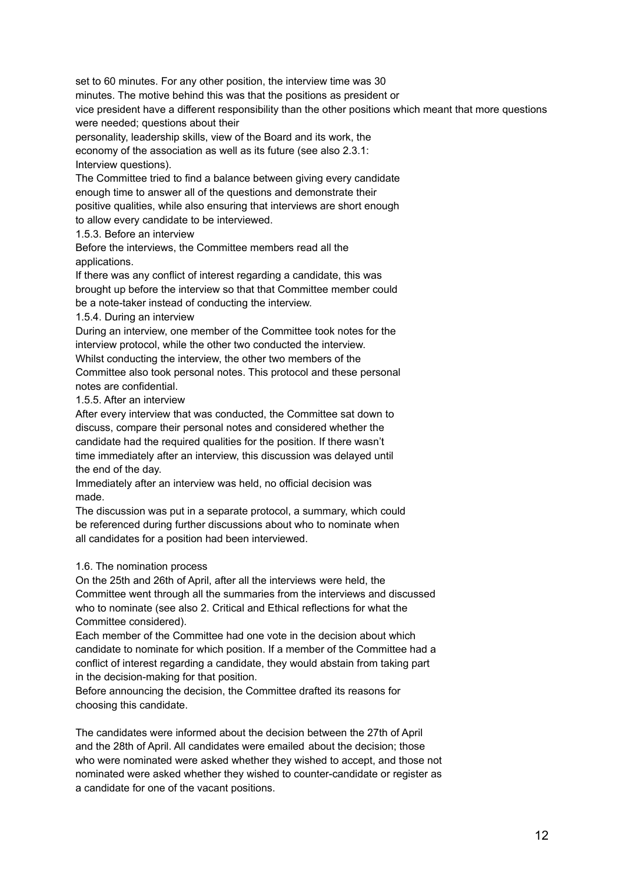set to 60 minutes. For any other position, the interview time was 30 minutes. The motive behind this was that the positions as president or vice president have a different responsibility than the other positions which meant that more questions were needed; questions about their

personality, leadership skills, view of the Board and its work, the economy of the association as well as its future (see also 2.3.1: Interview questions).

The Committee tried to find a balance between giving every candidate enough time to answer all of the questions and demonstrate their positive qualities, while also ensuring that interviews are short enough to allow every candidate to be interviewed.

1.5.3. Before an interview

Before the interviews, the Committee members read all the applications.

If there was any conflict of interest regarding a candidate, this was brought up before the interview so that that Committee member could be a note-taker instead of conducting the interview.

1.5.4. During an interview

During an interview, one member of the Committee took notes for the interview protocol, while the other two conducted the interview. Whilst conducting the interview, the other two members of the Committee also took personal notes. This protocol and these personal

notes are confidential. 1.5.5. After an interview

After every interview that was conducted, the Committee sat down to discuss, compare their personal notes and considered whether the candidate had the required qualities for the position. If there wasn't time immediately after an interview, this discussion was delayed until

the end of the day.

Immediately after an interview was held, no official decision was made.

The discussion was put in a separate protocol, a summary, which could be referenced during further discussions about who to nominate when all candidates for a position had been interviewed.

# 1.6. The nomination process

On the 25th and 26th of April, after all the interviews were held, the Committee went through all the summaries from the interviews and discussed who to nominate (see also 2. Critical and Ethical reflections for what the Committee considered).

Each member of the Committee had one vote in the decision about which candidate to nominate for which position. If a member of the Committee had a conflict of interest regarding a candidate, they would abstain from taking part in the decision-making for that position.

Before announcing the decision, the Committee drafted its reasons for choosing this candidate.

The candidates were informed about the decision between the 27th of April and the 28th of April. All candidates were emailed about the decision; those who were nominated were asked whether they wished to accept, and those not nominated were asked whether they wished to counter-candidate or register as a candidate for one of the vacant positions.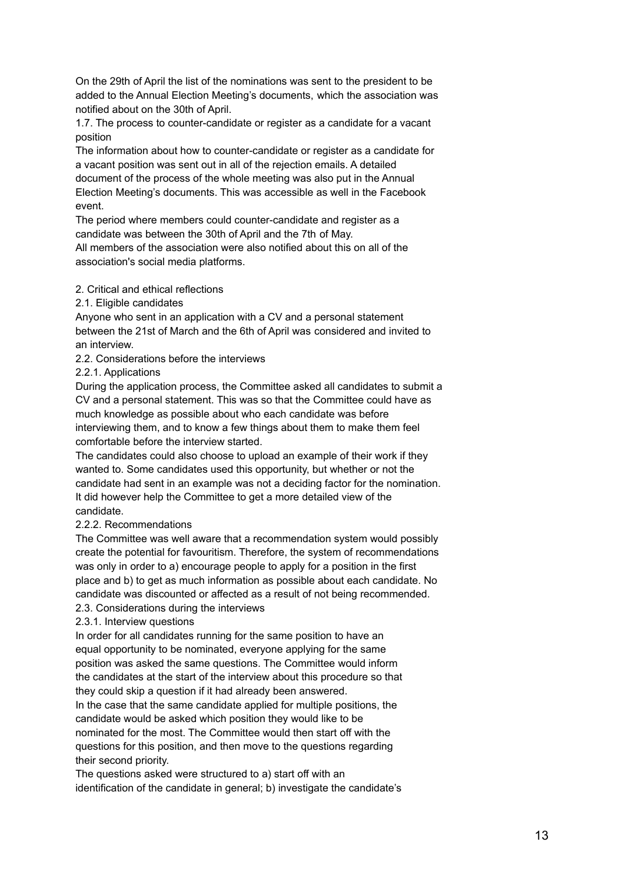On the 29th of April the list of the nominations was sent to the president to be added to the Annual Election Meeting's documents, which the association was notified about on the 30th of April.

1.7. The process to counter-candidate or register as a candidate for a vacant position

The information about how to counter-candidate or register as a candidate for a vacant position was sent out in all of the rejection emails. A detailed document of the process of the whole meeting was also put in the Annual Election Meeting's documents. This was accessible as well in the Facebook event.

The period where members could counter-candidate and register as a candidate was between the 30th of April and the 7th of May.

All members of the association were also notified about this on all of the association's social media platforms.

# 2. Critical and ethical reflections

# 2.1. Eligible candidates

Anyone who sent in an application with a CV and a personal statement between the 21st of March and the 6th of April was considered and invited to an interview.

2.2. Considerations before the interviews

# 2.2.1. Applications

During the application process, the Committee asked all candidates to submit a CV and a personal statement. This was so that the Committee could have as much knowledge as possible about who each candidate was before interviewing them, and to know a few things about them to make them feel comfortable before the interview started.

The candidates could also choose to upload an example of their work if they wanted to. Some candidates used this opportunity, but whether or not the candidate had sent in an example was not a deciding factor for the nomination. It did however help the Committee to get a more detailed view of the candidate.

# 2.2.2. Recommendations

The Committee was well aware that a recommendation system would possibly create the potential for favouritism. Therefore, the system of recommendations was only in order to a) encourage people to apply for a position in the first place and b) to get as much information as possible about each candidate. No candidate was discounted or affected as a result of not being recommended. 2.3. Considerations during the interviews

# 2.3.1. Interview questions

In order for all candidates running for the same position to have an equal opportunity to be nominated, everyone applying for the same position was asked the same questions. The Committee would inform the candidates at the start of the interview about this procedure so that they could skip a question if it had already been answered.

In the case that the same candidate applied for multiple positions, the candidate would be asked which position they would like to be nominated for the most. The Committee would then start off with the questions for this position, and then move to the questions regarding their second priority.

The questions asked were structured to a) start off with an identification of the candidate in general; b) investigate the candidate's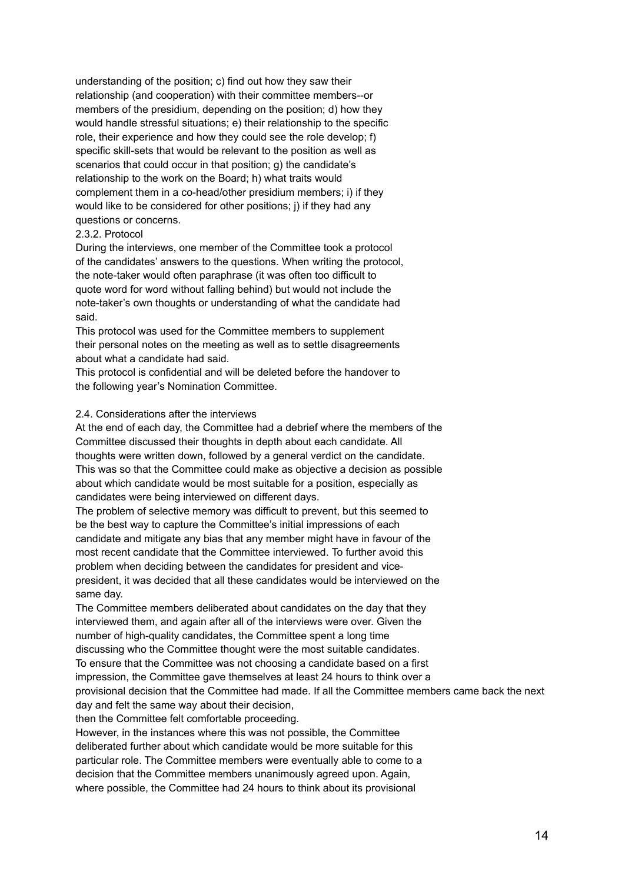understanding of the position; c) find out how they saw their relationship (and cooperation) with their committee members--or members of the presidium, depending on the position; d) how they would handle stressful situations; e) their relationship to the specific role, their experience and how they could see the role develop; f) specific skill-sets that would be relevant to the position as well as scenarios that could occur in that position; g) the candidate's relationship to the work on the Board; h) what traits would complement them in a co-head/other presidium members; i) if they would like to be considered for other positions; j) if they had any questions or concerns.

# 2.3.2. Protocol

During the interviews, one member of the Committee took a protocol of the candidates' answers to the questions. When writing the protocol, the note-taker would often paraphrase (it was often too difficult to quote word for word without falling behind) but would not include the note-taker's own thoughts or understanding of what the candidate had said.

This protocol was used for the Committee members to supplement their personal notes on the meeting as well as to settle disagreements about what a candidate had said.

This protocol is confidential and will be deleted before the handover to the following year's Nomination Committee.

#### 2.4. Considerations after the interviews

At the end of each day, the Committee had a debrief where the members of the Committee discussed their thoughts in depth about each candidate. All thoughts were written down, followed by a general verdict on the candidate. This was so that the Committee could make as objective a decision as possible about which candidate would be most suitable for a position, especially as candidates were being interviewed on different days.

The problem of selective memory was difficult to prevent, but this seemed to be the best way to capture the Committee's initial impressions of each candidate and mitigate any bias that any member might have in favour of the most recent candidate that the Committee interviewed. To further avoid this problem when deciding between the candidates for president and vicepresident, it was decided that all these candidates would be interviewed on the same day.

The Committee members deliberated about candidates on the day that they interviewed them, and again after all of the interviews were over. Given the number of high-quality candidates, the Committee spent a long time discussing who the Committee thought were the most suitable candidates. To ensure that the Committee was not choosing a candidate based on a first impression, the Committee gave themselves at least 24 hours to think over a provisional decision that the Committee had made. If all the Committee members came back the next day and felt the same way about their decision,

then the Committee felt comfortable proceeding.

However, in the instances where this was not possible, the Committee deliberated further about which candidate would be more suitable for this particular role. The Committee members were eventually able to come to a decision that the Committee members unanimously agreed upon. Again, where possible, the Committee had 24 hours to think about its provisional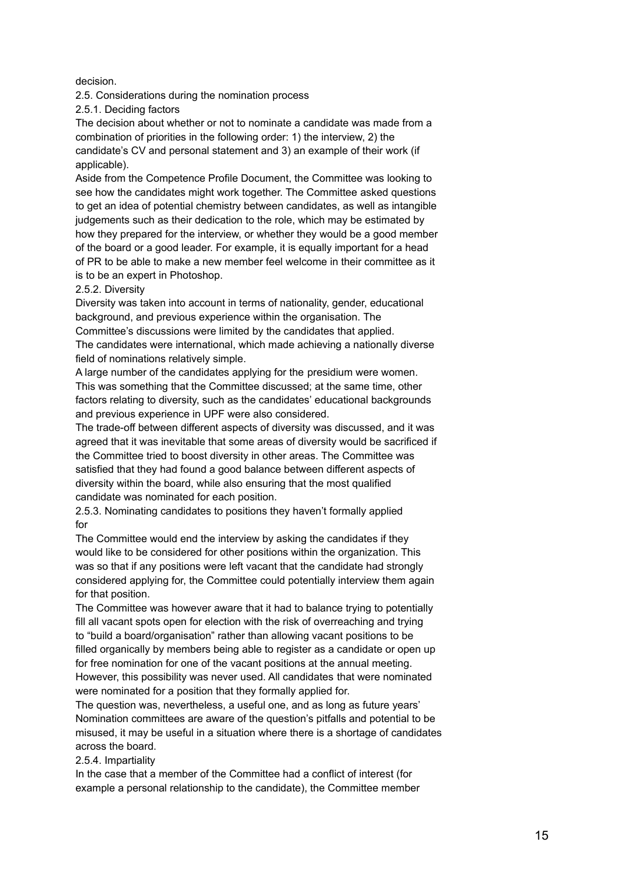decision.

2.5. Considerations during the nomination process

2.5.1. Deciding factors

The decision about whether or not to nominate a candidate was made from a combination of priorities in the following order: 1) the interview, 2) the candidate's CV and personal statement and 3) an example of their work (if applicable).

Aside from the Competence Profile Document, the Committee was looking to see how the candidates might work together. The Committee asked questions to get an idea of potential chemistry between candidates, as well as intangible judgements such as their dedication to the role, which may be estimated by how they prepared for the interview, or whether they would be a good member of the board or a good leader. For example, it is equally important for a head of PR to be able to make a new member feel welcome in their committee as it is to be an expert in Photoshop.

# 2.5.2. Diversity

Diversity was taken into account in terms of nationality, gender, educational background, and previous experience within the organisation. The Committee's discussions were limited by the candidates that applied. The candidates were international, which made achieving a nationally diverse field of nominations relatively simple.

A large number of the candidates applying for the presidium were women. This was something that the Committee discussed; at the same time, other factors relating to diversity, such as the candidates' educational backgrounds and previous experience in UPF were also considered.

The trade-off between different aspects of diversity was discussed, and it was agreed that it was inevitable that some areas of diversity would be sacrificed if the Committee tried to boost diversity in other areas. The Committee was satisfied that they had found a good balance between different aspects of diversity within the board, while also ensuring that the most qualified candidate was nominated for each position.

2.5.3. Nominating candidates to positions they haven't formally applied for

The Committee would end the interview by asking the candidates if they would like to be considered for other positions within the organization. This was so that if any positions were left vacant that the candidate had strongly considered applying for, the Committee could potentially interview them again for that position.

The Committee was however aware that it had to balance trying to potentially fill all vacant spots open for election with the risk of overreaching and trying to "build a board/organisation" rather than allowing vacant positions to be filled organically by members being able to register as a candidate or open up for free nomination for one of the vacant positions at the annual meeting. However, this possibility was never used. All candidates that were nominated were nominated for a position that they formally applied for.

The question was, nevertheless, a useful one, and as long as future years' Nomination committees are aware of the question's pitfalls and potential to be misused, it may be useful in a situation where there is a shortage of candidates across the board.

# 2.5.4. Impartiality

In the case that a member of the Committee had a conflict of interest (for example a personal relationship to the candidate), the Committee member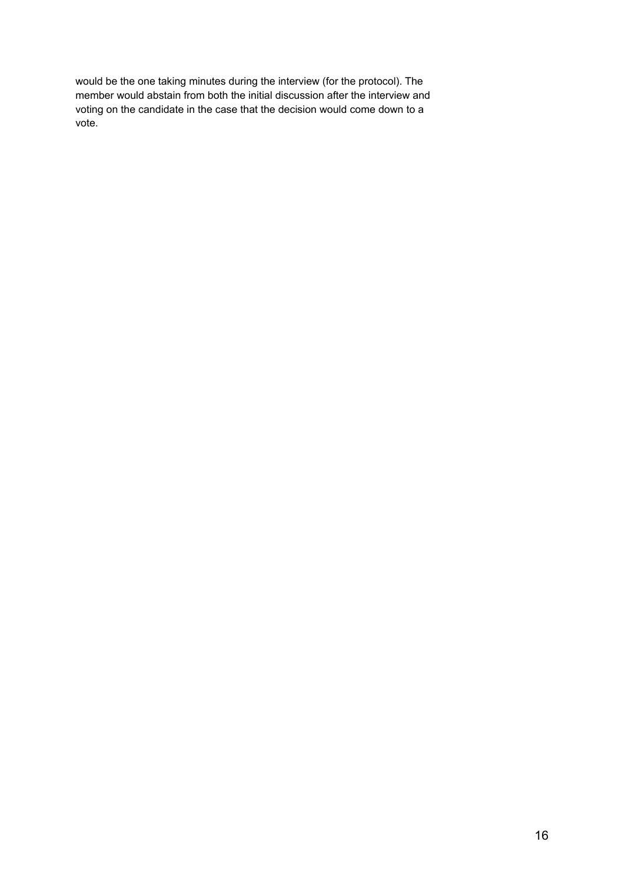would be the one taking minutes during the interview (for the protocol). The member would abstain from both the initial discussion after the interview and voting on the candidate in the case that the decision would come down to a vote.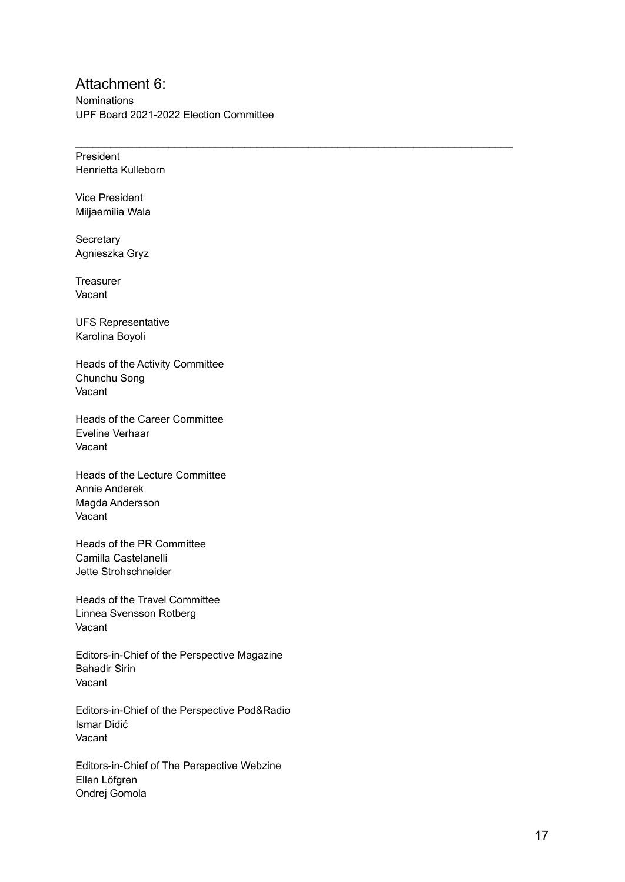# Attachment 6:

Nominations UPF Board 2021-2022 Election Committee

 $\mathcal{L}_\text{max}$  , and the set of the set of the set of the set of the set of the set of the set of the set of the set of the set of the set of the set of the set of the set of the set of the set of the set of the set of the

President Henrietta Kulleborn

Vice President Miljaemilia Wala

**Secretary** Agnieszka Gryz

**Treasurer** Vacant

UFS Representative Karolina Boyoli

Heads of the Activity Committee Chunchu Song Vacant

Heads of the Career Committee Eveline Verhaar Vacant

Heads of the Lecture Committee Annie Anderek Magda Andersson Vacant

Heads of the PR Committee Camilla Castelanelli Jette Strohschneider

Heads of the Travel Committee Linnea Svensson Rotberg Vacant

Editors-in-Chief of the Perspective Magazine Bahadir Sirin Vacant

Editors-in-Chief of the Perspective Pod&Radio Ismar Didić Vacant

Editors-in-Chief of The Perspective Webzine Ellen Löfgren Ondrej Gomola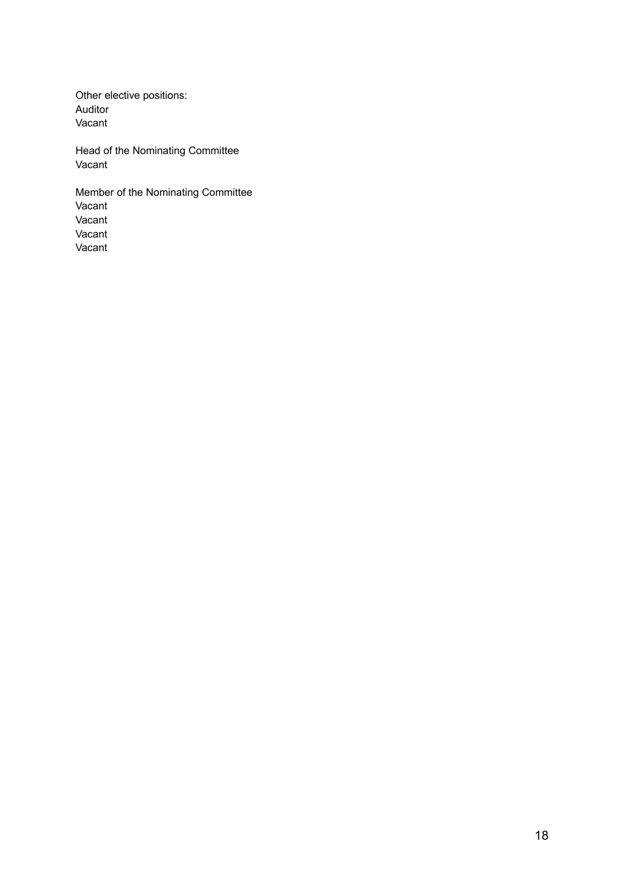Other elective positions: Auditor Vacant

Head of the Nominating Committee Vacant

Member of the Nominating Committee Vacant Vacant Vacant Vacant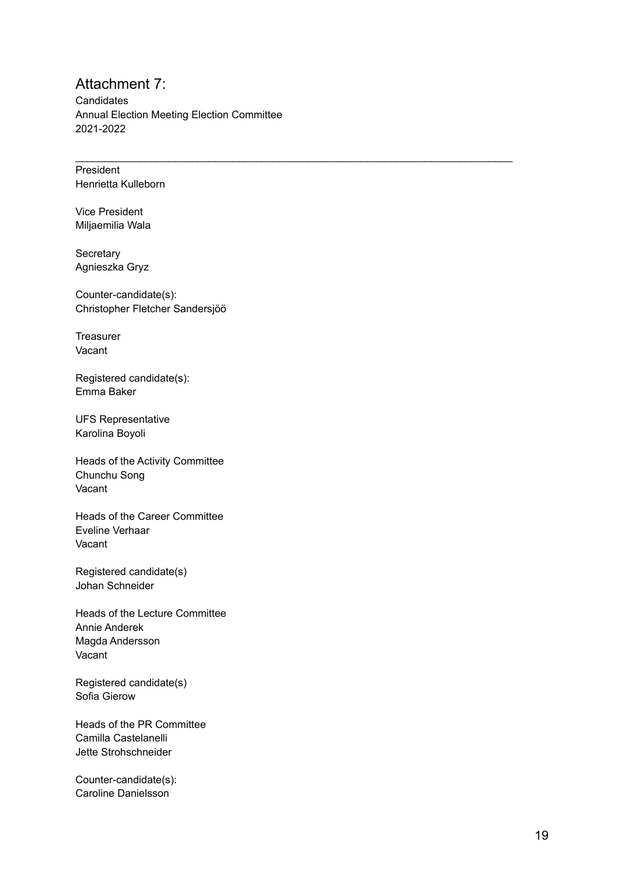# Attachment 7:

**Candidates** Annual Election Meeting Election Committee 2 0 2 1 - 2 0 2 2

 $\mathcal{L}_\text{max}$  , and the set of the set of the set of the set of the set of the set of the set of the set of the set of the set of the set of the set of the set of the set of the set of the set of the set of the set of the

**President** Henrietta Kulleborn

Vice President Miljaemilia Wala

**Secretary** Agnieszka Gryz

Counter-candidate(s): Christopher Fletcher Sandersjöö

**Treasurer** Vacant

Registered candidate(s): Emma Baker

UFS Representative Karolina Boyoli

Heads of the Activity Committee Chunchu Song Vacant

Heads of the Career Committee Eveline Verhaar Vacant

Registered candidate(s) Johan Schneider

Heads of the Lecture Committee Annie Anderek Magda Andersson Vacant

Registered candidate(s) Sofia Gierow

Heads of the PR Committee Camilla Castelanelli Jette Strohschneider

Counter-candidate(s): Caroline Danielsson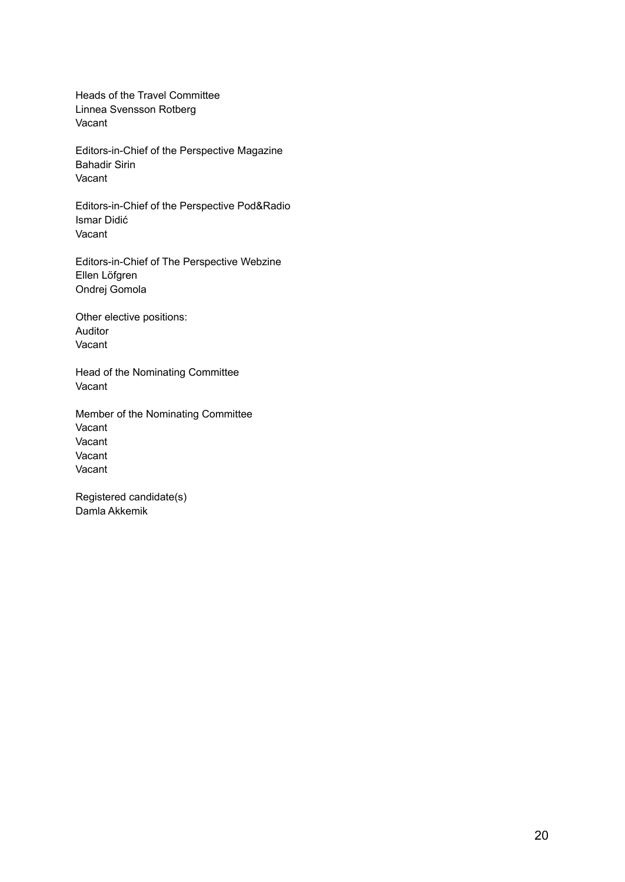Heads of the Travel Committee Linnea Svensson Rotberg Vacant

Editors-in-Chief of the Perspective Magazine Bahadir Sirin Vacant

Editors-in-Chief of the Perspective Pod&Radio Ismar Didić Vacant

Editors-in-Chief of The Perspective Webzine Ellen Löfgren Ondrej Gomola

Other elective positions: Auditor Vacant

Head of the Nominating Committee Vacant

Member of the Nominating Committee Vacant Vacant Vacant Vacant

Registered candidate(s) Damla Akkemik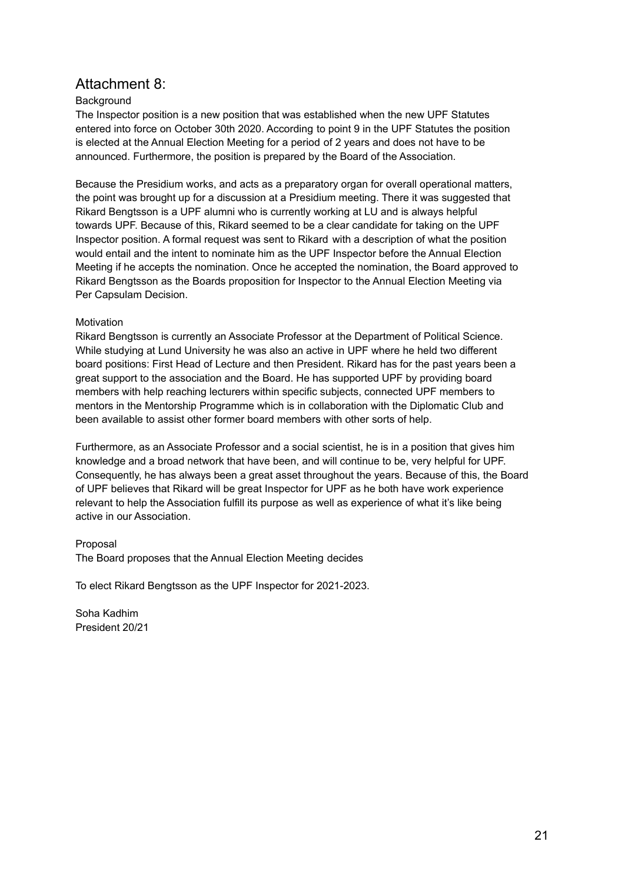# Attachment 8:

# **Background**

The Inspector position is a new position that was established when the new UPF Statutes entered into force on October 30th 2020. According to point 9 in the UPF Statutes the position is elected at the Annual Election Meeting for a period of 2 years and does not have to be announced. Furthermore, the position is prepared by the Board of the Association.

Because the Presidium works, and acts as a preparatory organ for overall operational matters, the point was brought up for a discussion at a Presidium meeting. There it was suggested that Rikard Bengtsson is a UPF alumni who is currently working at LU and is always helpful towards UPF. Because of this, Rikard seemed to be a clear candidate for taking on the UPF Inspector position. A formal request was sent to Rikard with a description of what the position would entail and the intent to nominate him as the UPF Inspector before the Annual Election Meeting if he accepts the nomination. Once he accepted the nomination, the Board approved to Rikard Bengtsson as the Boards proposition for Inspector to the Annual Election Meeting via Per Capsulam Decision.

# Motivation

Rikard Bengtsson is currently an Associate Professor at the Department of Political Science. While studying at Lund University he was also an active in UPF where he held two different board positions: First Head of Lecture and then President. Rikard has for the past years been a great support to the association and the Board. He has supported UPF by providing board members with help reaching lecturers within specific subjects, connected UPF members to mentors in the Mentorship Programme which is in collaboration with the Diplomatic Club and been available to assist other former board members with other sorts of help.

Furthermore, as an Associate Professor and a social scientist, he is in a position that gives him knowledge and a broad network that have been, and will continue to be, very helpful for UPF. Consequently, he has always been a great asset throughout the years. Because of this, the Board of UPF believes that Rikard will be great Inspector for UPF as he both have work experience relevant to help the Association fulfill its purpose as well as experience of what it's like being active in our Association.

# Proposal

The Board proposes that the Annual Election Meeting decides

To elect Rikard Bengtsson as the UPF Inspector for 2021-2023.

Soha Kadhim President 20/21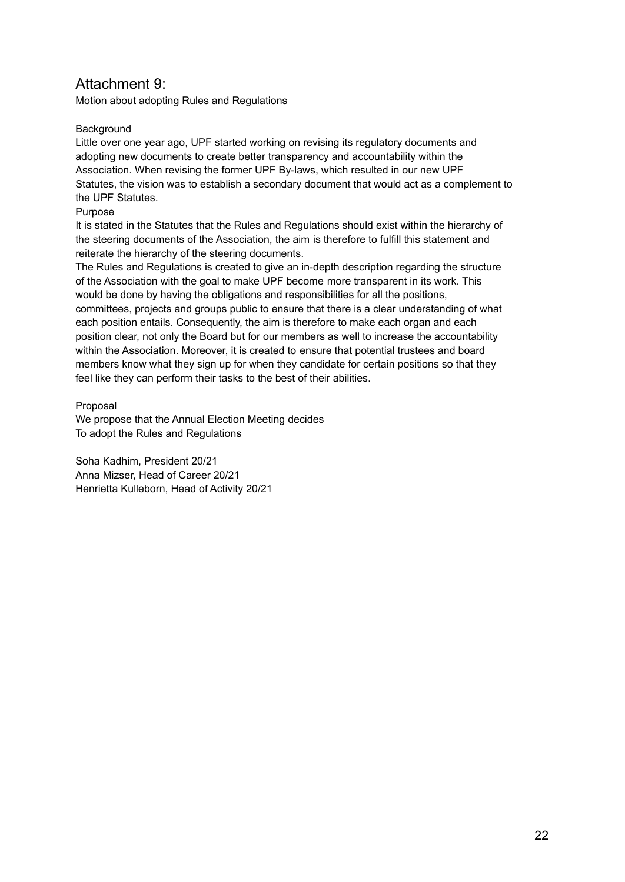# Attachment 9:

Motion about adopting Rules and Regulations

# **Background**

Little over one year ago, UPF started working on revising its regulatory documents and adopting new documents to create better transparency and accountability within the Association. When revising the former UPF By-laws, which resulted in our new UPF Statutes, the vision was to establish a secondary document that would act as a complement to the UPF Statutes.

# Purpose

It is stated in the Statutes that the Rules and Regulations should exist within the hierarchy of the steering documents of the Association, the aim is therefore to fulfill this statement and reiterate the hierarchy of the steering documents.

The Rules and Regulations is created to give an in-depth description regarding the structure of the Association with the goal to make UPF become more transparent in its work. This would be done by having the obligations and responsibilities for all the positions, committees, projects and groups public to ensure that there is a clear understanding of what each position entails. Consequently, the aim is therefore to make each organ and each position clear, not only the Board but for our members as well to increase the accountability within the Association. Moreover, it is created to ensure that potential trustees and board members know what they sign up for when they candidate for certain positions so that they feel like they can perform their tasks to the best of their abilities.

# Proposal

We propose that the Annual Election Meeting decides To adopt the Rules and Regulations

Soha Kadhim, President 20/21 Anna Mizser, Head of Career 20/21 Henrietta Kulleborn, Head of Activity 20/21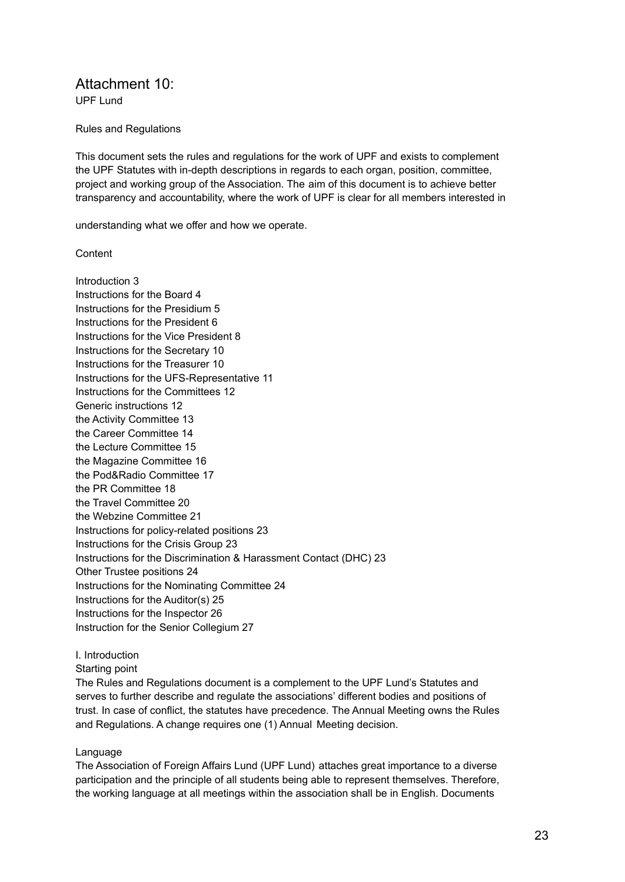# Attachment 10:

UPF Lund

#### Rules and Regulations

This document sets the rules and regulations for the work of UPF and exists to complement the UPF Statutes with in-depth descriptions in regards to each organ, position, committee, project and working group of the Association. The aim of this document is to achieve better transparency and accountability, where the work of UPF is clear for all members interested in

understanding what we offer and how we operate.

#### **Content**

Introduction 3 Instructions for the Board 4 Instructions for the Presidium 5 Instructions for the President 6 Instructions for the Vice President 8 Instructions for the Secretary 10 Instructions for the Treasurer 10 Instructions for the UFS-Representative 11 Instructions for the Committees 12 Generic instructions 12 the Activity Committee 13 the Career Committee 14 the Lecture Committee 15 the Magazine Committee 16 the Pod&Radio Committee 17 the PR Committee 18 the Travel Committee 20 the Webzine Committee 21 Instructions for policy-related positions 23 Instructions for the Crisis Group 23 Instructions for the Discrimination & Harassment Contact (DHC) 23 Other Trustee positions 24 Instructions for the Nominating Committee 24 Instructions for the Auditor(s) 25 Instructions for the Inspector 26 Instruction for the Senior Collegium 27

# I. Introduction

Starting point

The Rules and Regulations document is a complement to the UPF Lund's Statutes and serves to further describe and regulate the associations' different bodies and positions of trust. In case of conflict, the statutes have precedence. The Annual Meeting owns the Rules and Regulations. A change requires one (1) Annual Meeting decision.

# Language

The Association of Foreign Affairs Lund (UPF Lund) attaches great importance to a diverse participation and the principle of all students being able to represent themselves. Therefore, the working language at all meetings within the association shall be in English. Documents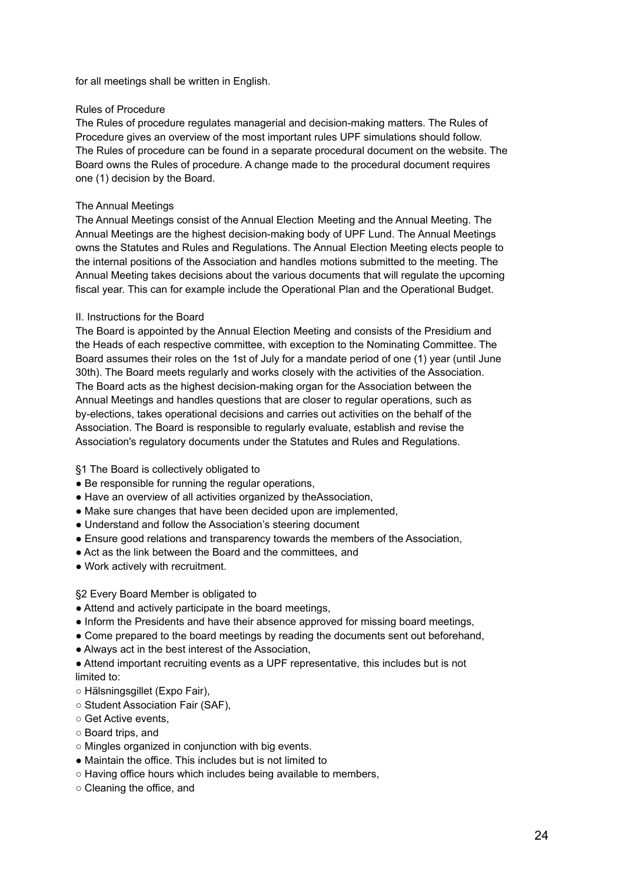for all meetings shall be written in English.

#### Rules of Procedure

The Rules of procedure regulates managerial and decision-making matters. The Rules of Procedure gives an overview of the most important rules UPF simulations should follow. The Rules of procedure can be found in a separate procedural document on the website. The Board owns the Rules of procedure. A change made to the procedural document requires one (1) decision by the Board.

#### The Annual Meetings

The Annual Meetings consist of the Annual Election Meeting and the Annual Meeting. The Annual Meetings are the highest decision-making body of UPF Lund. The Annual Meetings owns the Statutes and Rules and Regulations. The Annual Election Meeting elects people to the internal positions of the Association and handles motions submitted to the meeting. The Annual Meeting takes decisions about the various documents that will regulate the upcoming fiscal year. This can for example include the Operational Plan and the Operational Budget.

#### II. Instructions for the Board

The Board is appointed by the Annual Election Meeting and consists of the Presidium and the Heads of each respective committee, with exception to the Nominating Committee. The Board assumes their roles on the 1st of July for a mandate period of one (1) year (until June 30th). The Board meets regularly and works closely with the activities of the Association. The Board acts as the highest decision-making organ for the Association between the Annual Meetings and handles questions that are closer to regular operations, such as by-elections, takes operational decisions and carries out activities on the behalf of the Association. The Board is responsible to regularly evaluate, establish and revise the Association's regulatory documents under the Statutes and Rules and Regulations.

§1 The Board is collectively obligated to

- Be responsible for running the regular operations,
- Have an overview of all activities organized by theAssociation,
- Make sure changes that have been decided upon are implemented,
- Understand and follow the Association's steering document
- Ensure good relations and transparency towards the members of the Association,
- Act as the link between the Board and the committees, and
- Work actively with recruitment.

# §2 Every Board Member is obligated to

- Attend and actively participate in the board meetings,
- Inform the Presidents and have their absence approved for missing board meetings,
- Come prepared to the board meetings by reading the documents sent out beforehand,
- Always act in the best interest of the Association,
- Attend important recruiting events as a UPF representative, this includes but is not limited to:
- Hälsningsgillet (Expo Fair),
- Student Association Fair (SAF),
- Get Active events,
- Board trips, and
- Mingles organized in conjunction with big events.
- Maintain the office. This includes but is not limited to
- Having office hours which includes being available to members,
- Cleaning the office, and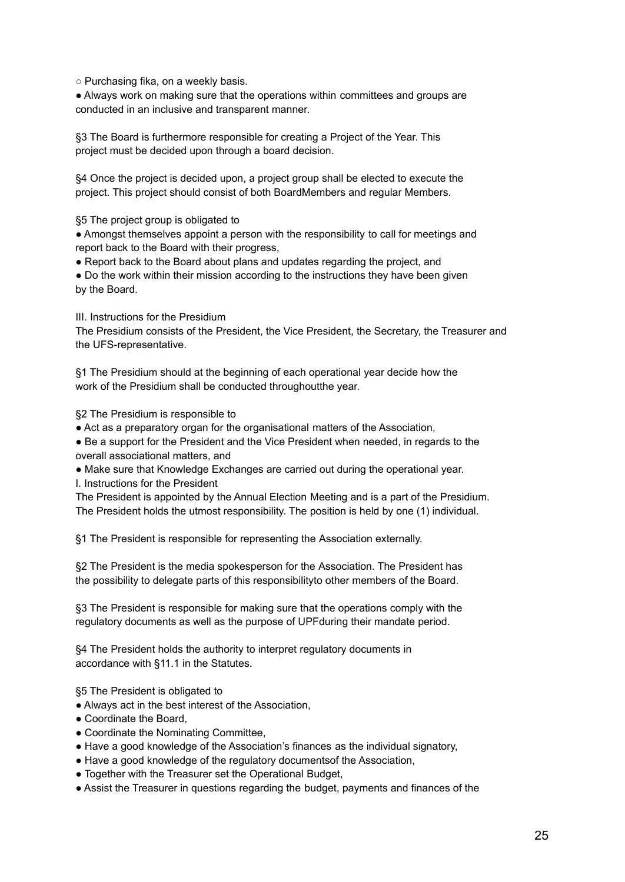○ Purchasing fika, on a weekly basis.

● Always work on making sure that the operations within committees and groups are conducted in an inclusive and transparent manner.

§3 The Board is furthermore responsible for creating a Project of the Year. This project must be decided upon through a board decision.

§4 Once the project is decided upon, a project group shall be elected to execute the project. This project should consist of both BoardMembers and regular Members.

§5 The project group is obligated to

● Amongst themselves appoint a person with the responsibility to call for meetings and report back to the Board with their progress,

● Report back to the Board about plans and updates regarding the project, and

• Do the work within their mission according to the instructions they have been given by the Board.

III. Instructions for the Presidium

The Presidium consists of the President, the Vice President, the Secretary, the Treasurer and the UFS-representative.

§1 The Presidium should at the beginning of each operational year decide how the work of the Presidium shall be conducted throughoutthe year.

§2 The Presidium is responsible to

● Act as a preparatory organ for the organisational matters of the Association,

• Be a support for the President and the Vice President when needed, in regards to the overall associational matters, and

● Make sure that Knowledge Exchanges are carried out during the operational year.

I. Instructions for the President

The President is appointed by the Annual Election Meeting and is a part of the Presidium. The President holds the utmost responsibility. The position is held by one (1) individual.

§1 The President is responsible for representing the Association externally.

§2 The President is the media spokesperson for the Association. The President has the possibility to delegate parts of this responsibilityto other members of the Board.

§3 The President is responsible for making sure that the operations comply with the regulatory documents as well as the purpose of UPFduring their mandate period.

§4 The President holds the authority to interpret regulatory documents in accordance with §11.1 in the Statutes.

§5 The President is obligated to

- Always act in the best interest of the Association,
- Coordinate the Board,
- Coordinate the Nominating Committee,
- Have a good knowledge of the Association's finances as the individual signatory,
- Have a good knowledge of the regulatory documentsof the Association,
- Together with the Treasurer set the Operational Budget,
- Assist the Treasurer in questions regarding the budget, payments and finances of the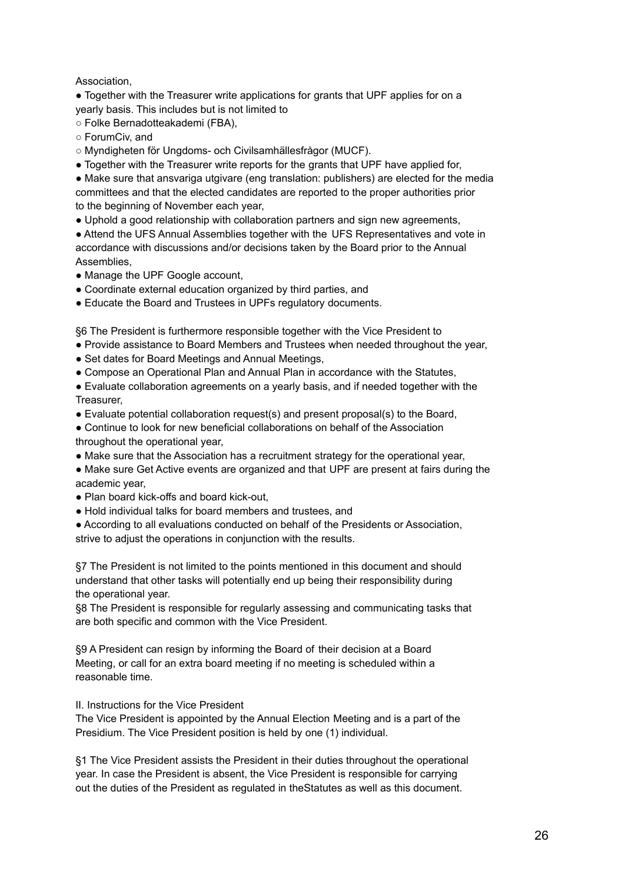# Association,

● Together with the Treasurer write applications for grants that UPF applies for on a yearly basis. This includes but is not limited to

- Folke Bernadotteakademi (FBA),
- ForumCiv, and
- Myndigheten för Ungdoms- och Civilsamhällesfrågor (MUCF).
- Together with the Treasurer write reports for the grants that UPF have applied for,
- Make sure that ansvariga utgivare (eng translation: publishers) are elected for the media committees and that the elected candidates are reported to the proper authorities prior to the beginning of November each year,
- Uphold a good relationship with collaboration partners and sign new agreements,

● Attend the UFS Annual Assemblies together with the UFS Representatives and vote in accordance with discussions and/or decisions taken by the Board prior to the Annual Assemblies,

- Manage the UPF Google account,
- Coordinate external education organized by third parties, and
- Educate the Board and Trustees in UPFs regulatory documents.

§6 The President is furthermore responsible together with the Vice President to

- Provide assistance to Board Members and Trustees when needed throughout the year,
- Set dates for Board Meetings and Annual Meetings,
- Compose an Operational Plan and Annual Plan in accordance with the Statutes,
- Evaluate collaboration agreements on a yearly basis, and if needed together with the Treasurer,
- Evaluate potential collaboration request(s) and present proposal(s) to the Board,
- Continue to look for new beneficial collaborations on behalf of the Association throughout the operational year,
- Make sure that the Association has a recruitment strategy for the operational year,
- Make sure Get Active events are organized and that UPF are present at fairs during the academic year,
- Plan board kick-offs and board kick-out,
- Hold individual talks for board members and trustees, and

● According to all evaluations conducted on behalf of the Presidents or Association, strive to adjust the operations in conjunction with the results.

§7 The President is not limited to the points mentioned in this document and should understand that other tasks will potentially end up being their responsibility during the operational year.

§8 The President is responsible for regularly assessing and communicating tasks that are both specific and common with the Vice President.

§9 A President can resign by informing the Board of their decision at a Board Meeting, or call for an extra board meeting if no meeting is scheduled within a reasonable time.

II. Instructions for the Vice President

The Vice President is appointed by the Annual Election Meeting and is a part of the Presidium. The Vice President position is held by one (1) individual.

§1 The Vice President assists the President in their duties throughout the operational year. In case the President is absent, the Vice President is responsible for carrying out the duties of the President as regulated in theStatutes as well as this document.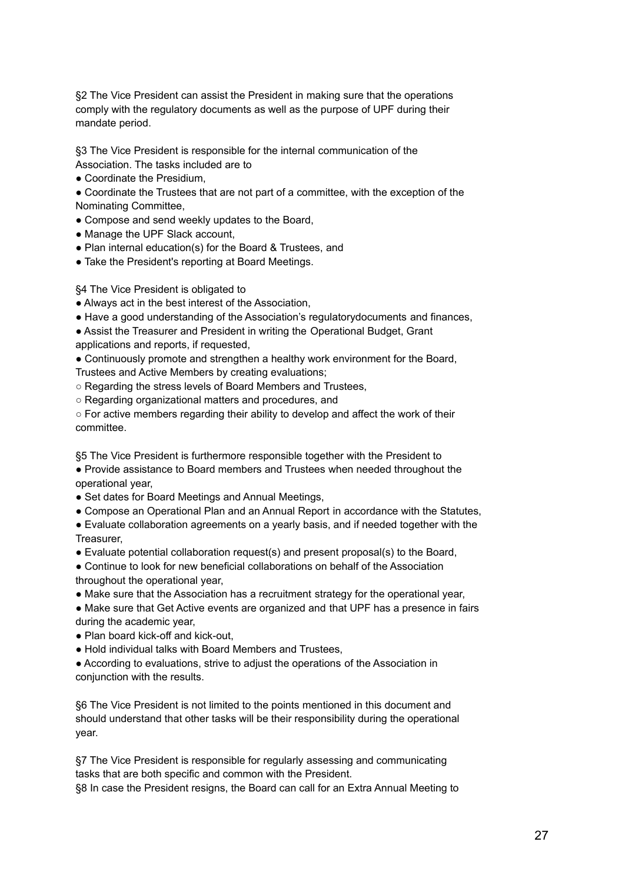§2 The Vice President can assist the President in making sure that the operations comply with the regulatory documents as well as the purpose of UPF during their mandate period.

§3 The Vice President is responsible for the internal communication of the Association. The tasks included are to

- Coordinate the Presidium,
- Coordinate the Trustees that are not part of a committee, with the exception of the Nominating Committee,
- Compose and send weekly updates to the Board,
- Manage the UPF Slack account,
- Plan internal education(s) for the Board & Trustees, and
- Take the President's reporting at Board Meetings.

# §4 The Vice President is obligated to

- Always act in the best interest of the Association,
- Have a good understanding of the Association's regulatorydocuments and finances,
- Assist the Treasurer and President in writing the Operational Budget, Grant
- applications and reports, if requested,

● Continuously promote and strengthen a healthy work environment for the Board, Trustees and Active Members by creating evaluations;

- Regarding the stress levels of Board Members and Trustees,
- Regarding organizational matters and procedures, and

 $\circ$  For active members regarding their ability to develop and affect the work of their committee.

§5 The Vice President is furthermore responsible together with the President to

● Provide assistance to Board members and Trustees when needed throughout the operational year,

- Set dates for Board Meetings and Annual Meetings,
- Compose an Operational Plan and an Annual Report in accordance with the Statutes,

● Evaluate collaboration agreements on a yearly basis, and if needed together with the Treasurer,

● Evaluate potential collaboration request(s) and present proposal(s) to the Board,

• Continue to look for new beneficial collaborations on behalf of the Association throughout the operational year,

● Make sure that the Association has a recruitment strategy for the operational year,

● Make sure that Get Active events are organized and that UPF has a presence in fairs during the academic year,

- Plan board kick-off and kick-out,
- Hold individual talks with Board Members and Trustees,

● According to evaluations, strive to adjust the operations of the Association in conjunction with the results.

§6 The Vice President is not limited to the points mentioned in this document and should understand that other tasks will be their responsibility during the operational year.

§7 The Vice President is responsible for regularly assessing and communicating tasks that are both specific and common with the President.

§8 In case the President resigns, the Board can call for an Extra Annual Meeting to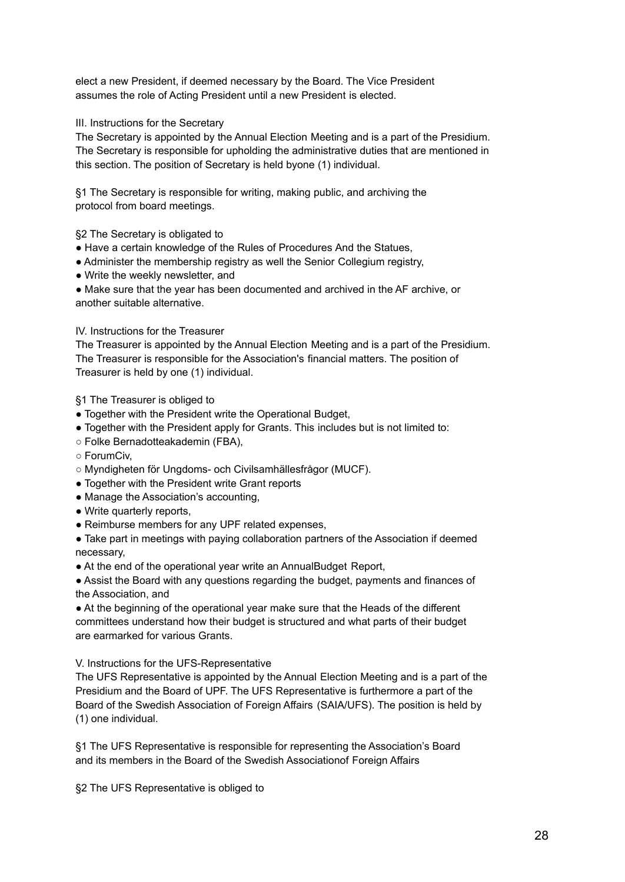elect a new President, if deemed necessary by the Board. The Vice President assumes the role of Acting President until a new President is elected.

III. Instructions for the Secretary

The Secretary is appointed by the Annual Election Meeting and is a part of the Presidium. The Secretary is responsible for upholding the administrative duties that are mentioned in this section. The position of Secretary is held byone (1) individual.

§1 The Secretary is responsible for writing, making public, and archiving the protocol from board meetings.

§2 The Secretary is obligated to

● Have a certain knowledge of the Rules of Procedures And the Statues,

- Administer the membership registry as well the Senior Collegium registry,
- Write the weekly newsletter, and

● Make sure that the year has been documented and archived in the AF archive, or another suitable alternative.

# IV. Instructions for the Treasurer

The Treasurer is appointed by the Annual Election Meeting and is a part of the Presidium. The Treasurer is responsible for the Association's financial matters. The position of Treasurer is held by one (1) individual.

§1 The Treasurer is obliged to

- Together with the President write the Operational Budget,
- Together with the President apply for Grants. This includes but is not limited to:
- Folke Bernadotteakademin (FBA),
- ForumCiv,
- Myndigheten för Ungdoms- och Civilsamhällesfrågor (MUCF).
- Together with the President write Grant reports
- Manage the Association's accounting,
- Write quarterly reports,
- Reimburse members for any UPF related expenses,

• Take part in meetings with paying collaboration partners of the Association if deemed necessary,

● At the end of the operational year write an AnnualBudget Report,

● Assist the Board with any questions regarding the budget, payments and finances of the Association, and

● At the beginning of the operational year make sure that the Heads of the different committees understand how their budget is structured and what parts of their budget are earmarked for various Grants.

V. Instructions for the UFS-Representative

The UFS Representative is appointed by the Annual Election Meeting and is a part of the Presidium and the Board of UPF. The UFS Representative is furthermore a part of the Board of the Swedish Association of Foreign Affairs (SAIA/UFS). The position is held by (1) one individual.

§1 The UFS Representative is responsible for representing the Association's Board and its members in the Board of the Swedish Associationof Foreign Affairs

§2 The UFS Representative is obliged to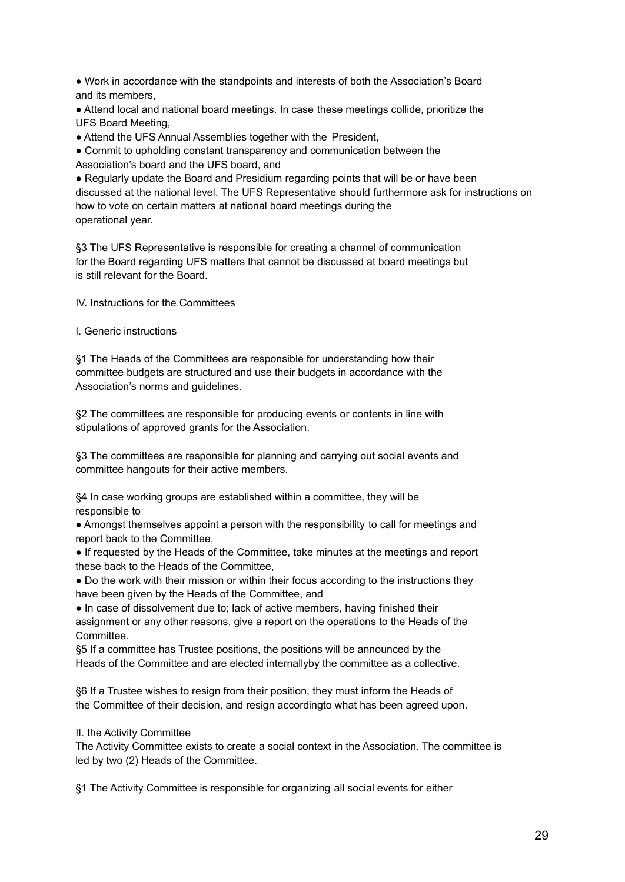● Work in accordance with the standpoints and interests of both the Association's Board and its members,

● Attend local and national board meetings. In case these meetings collide, prioritize the UFS Board Meeting,

• Attend the UFS Annual Assemblies together with the President,

● Commit to upholding constant transparency and communication between the

Association's board and the UFS board, and

● Regularly update the Board and Presidium regarding points that will be or have been discussed at the national level. The UFS Representative should furthermore ask for instructions on how to vote on certain matters at national board meetings during the operational year.

§3 The UFS Representative is responsible for creating a channel of communication for the Board regarding UFS matters that cannot be discussed at board meetings but is still relevant for the Board.

IV. Instructions for the Committees

I. Generic instructions

§1 The Heads of the Committees are responsible for understanding how their committee budgets are structured and use their budgets in accordance with the Association's norms and guidelines.

§2 The committees are responsible for producing events or contents in line with stipulations of approved grants for the Association.

§3 The committees are responsible for planning and carrying out social events and committee hangouts for their active members.

§4 In case working groups are established within a committee, they will be responsible to

● Amongst themselves appoint a person with the responsibility to call for meetings and report back to the Committee,

● If requested by the Heads of the Committee, take minutes at the meetings and report these back to the Heads of the Committee,

● Do the work with their mission or within their focus according to the instructions they have been given by the Heads of the Committee, and

● In case of dissolvement due to; lack of active members, having finished their assignment or any other reasons, give a report on the operations to the Heads of the Committee.

§5 If a committee has Trustee positions, the positions will be announced by the Heads of the Committee and are elected internallyby the committee as a collective.

§6 If a Trustee wishes to resign from their position, they must inform the Heads of the Committee of their decision, and resign accordingto what has been agreed upon.

II. the Activity Committee

The Activity Committee exists to create a social context in the Association. The committee is led by two (2) Heads of the Committee.

§1 The Activity Committee is responsible for organizing all social events for either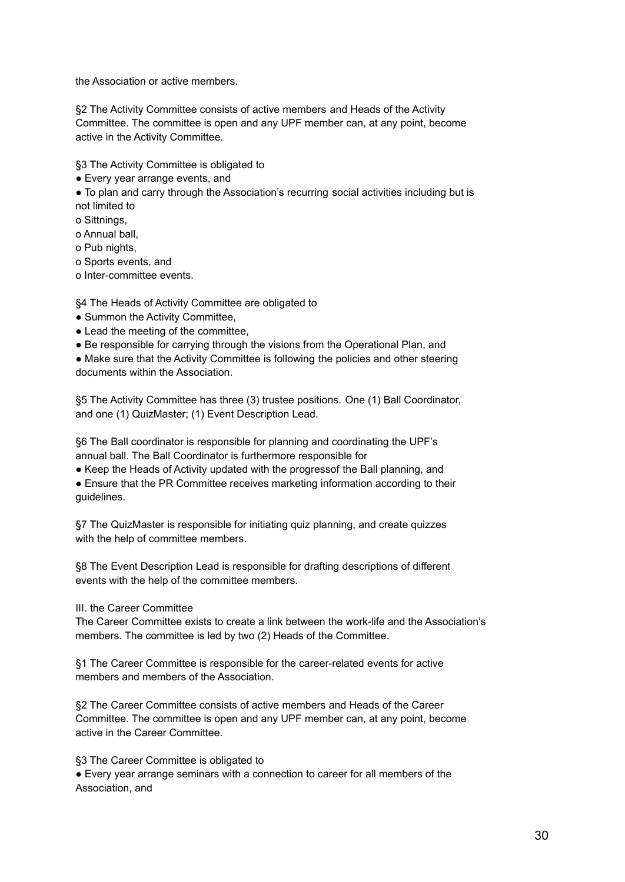the Association or active members.

§2 The Activity Committee consists of active members and Heads of the Activity Committee. The committee is open and any UPF member can, at any point, become active in the Activity Committee.

§3 The Activity Committee is obligated to

● Every year arrange events, and

● To plan and carry through the Association's recurring social activities including but is not limited to

o Sittnings,

o Annual ball,

o Pub nights,

o Sports events, and

o Inter-committee events.

§4 The Heads of Activity Committee are obligated to

- Summon the Activity Committee,
- Lead the meeting of the committee,
- Be responsible for carrying through the visions from the Operational Plan, and

• Make sure that the Activity Committee is following the policies and other steering documents within the Association.

§5 The Activity Committee has three (3) trustee positions. One (1) Ball Coordinator, and one (1) QuizMaster; (1) Event Description Lead.

§6 The Ball coordinator is responsible for planning and coordinating the UPF's annual ball. The Ball Coordinator is furthermore responsible for

● Keep the Heads of Activity updated with the progressof the Ball planning, and

● Ensure that the PR Committee receives marketing information according to their guidelines.

§7 The QuizMaster is responsible for initiating quiz planning, and create quizzes with the help of committee members.

§8 The Event Description Lead is responsible for drafting descriptions of different events with the help of the committee members.

III. the Career Committee

The Career Committee exists to create a link between the work-life and the Association's members. The committee is led by two (2) Heads of the Committee.

§1 The Career Committee is responsible for the career-related events for active members and members of the Association.

§2 The Career Committee consists of active members and Heads of the Career Committee. The committee is open and any UPF member can, at any point, become active in the Career Committee.

§3 The Career Committee is obligated to

● Every year arrange seminars with a connection to career for all members of the Association, and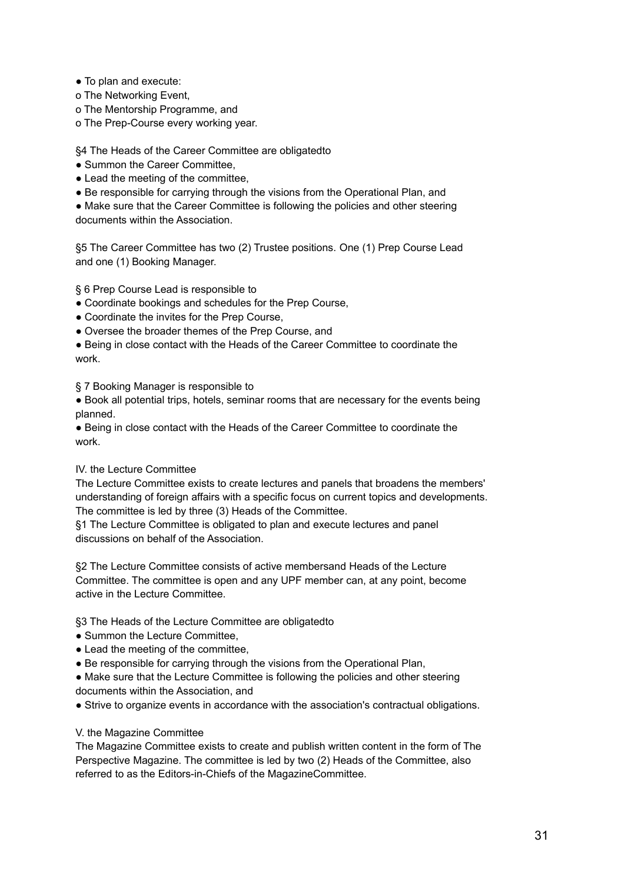- To plan and execute:
- o The Networking Event,
- o The Mentorship Programme, and
- o The Prep-Course every working year.

# §4 The Heads of the Career Committee are obligatedto

- Summon the Career Committee,
- Lead the meeting of the committee,
- Be responsible for carrying through the visions from the Operational Plan, and

● Make sure that the Career Committee is following the policies and other steering documents within the Association.

§5 The Career Committee has two (2) Trustee positions. One (1) Prep Course Lead and one (1) Booking Manager.

§ 6 Prep Course Lead is responsible to

- Coordinate bookings and schedules for the Prep Course,
- Coordinate the invites for the Prep Course,
- Oversee the broader themes of the Prep Course, and
- Being in close contact with the Heads of the Career Committee to coordinate the work.

§ 7 Booking Manager is responsible to

● Book all potential trips, hotels, seminar rooms that are necessary for the events being planned.

● Being in close contact with the Heads of the Career Committee to coordinate the work.

# IV. the Lecture Committee

The Lecture Committee exists to create lectures and panels that broadens the members' understanding of foreign affairs with a specific focus on current topics and developments. The committee is led by three (3) Heads of the Committee.

§1 The Lecture Committee is obligated to plan and execute lectures and panel discussions on behalf of the Association.

§2 The Lecture Committee consists of active membersand Heads of the Lecture Committee. The committee is open and any UPF member can, at any point, become active in the Lecture Committee.

§3 The Heads of the Lecture Committee are obligatedto

- Summon the Lecture Committee,
- Lead the meeting of the committee.
- Be responsible for carrying through the visions from the Operational Plan,
- Make sure that the Lecture Committee is following the policies and other steering documents within the Association, and
- Strive to organize events in accordance with the association's contractual obligations.

# V. the Magazine Committee

The Magazine Committee exists to create and publish written content in the form of The Perspective Magazine. The committee is led by two (2) Heads of the Committee, also referred to as the Editors-in-Chiefs of the MagazineCommittee.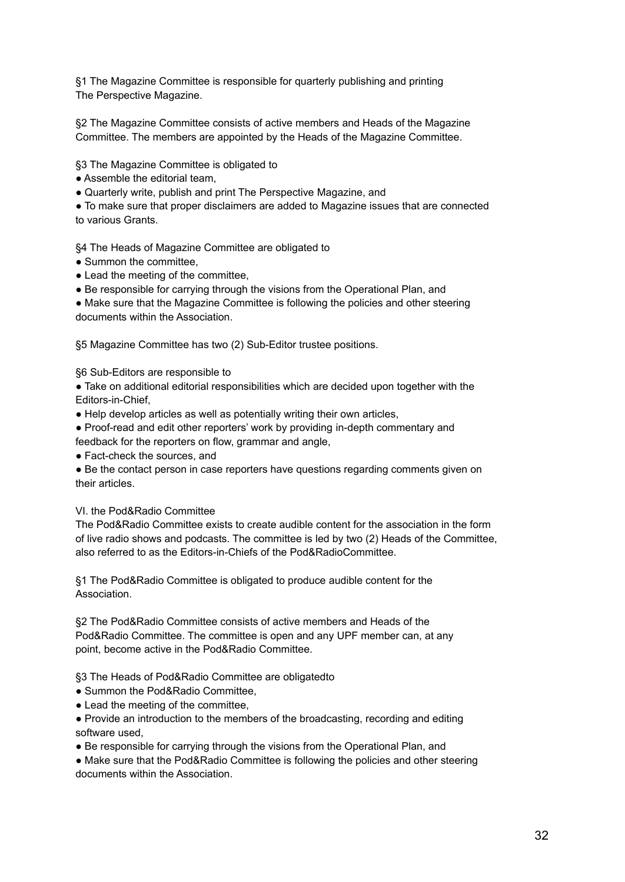§1 The Magazine Committee is responsible for quarterly publishing and printing The Perspective Magazine.

§2 The Magazine Committee consists of active members and Heads of the Magazine Committee. The members are appointed by the Heads of the Magazine Committee.

§3 The Magazine Committee is obligated to

- Assemble the editorial team,
- Quarterly write, publish and print The Perspective Magazine, and

● To make sure that proper disclaimers are added to Magazine issues that are connected to various Grants.

§4 The Heads of Magazine Committee are obligated to

- Summon the committee.
- Lead the meeting of the committee.
- Be responsible for carrying through the visions from the Operational Plan, and

● Make sure that the Magazine Committee is following the policies and other steering documents within the Association.

§5 Magazine Committee has two (2) Sub-Editor trustee positions.

§6 Sub-Editors are responsible to

● Take on additional editorial responsibilities which are decided upon together with the Editors-in-Chief,

• Help develop articles as well as potentially writing their own articles,

● Proof-read and edit other reporters' work by providing in-depth commentary and

feedback for the reporters on flow, grammar and angle,

● Fact-check the sources, and

• Be the contact person in case reporters have questions regarding comments given on their articles.

# VI. the Pod&Radio Committee

The Pod&Radio Committee exists to create audible content for the association in the form of live radio shows and podcasts. The committee is led by two (2) Heads of the Committee, also referred to as the Editors-in-Chiefs of the Pod&RadioCommittee.

§1 The Pod&Radio Committee is obligated to produce audible content for the Association.

§2 The Pod&Radio Committee consists of active members and Heads of the Pod&Radio Committee. The committee is open and any UPF member can, at any point, become active in the Pod&Radio Committee.

§3 The Heads of Pod&Radio Committee are obligatedto

- Summon the Pod&Radio Committee,
- Lead the meeting of the committee,
- Provide an introduction to the members of the broadcasting, recording and editing software used,
- Be responsible for carrying through the visions from the Operational Plan, and

● Make sure that the Pod&Radio Committee is following the policies and other steering documents within the Association.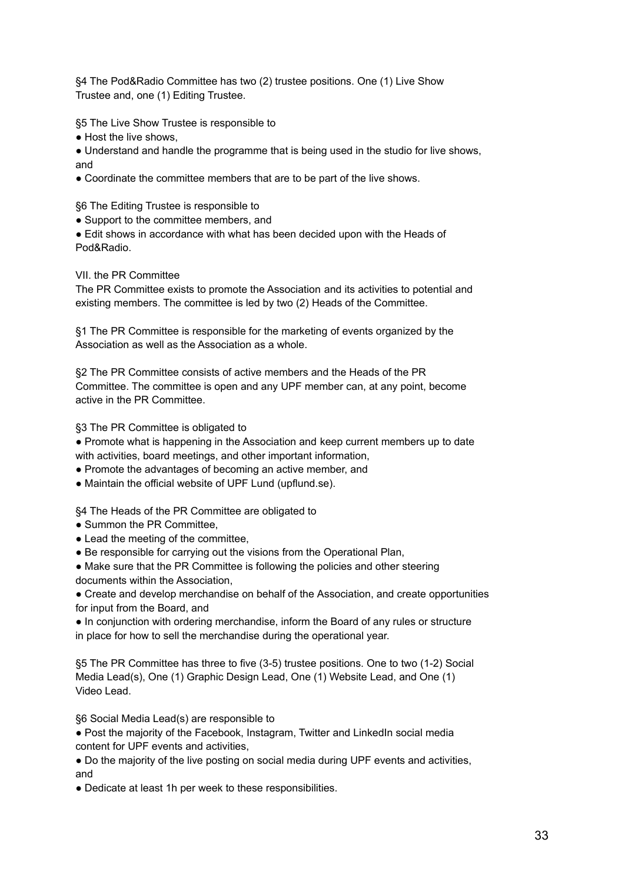§4 The Pod&Radio Committee has two (2) trustee positions. One (1) Live Show Trustee and, one (1) Editing Trustee.

§5 The Live Show Trustee is responsible to

• Host the live shows,

• Understand and handle the programme that is being used in the studio for live shows, and

• Coordinate the committee members that are to be part of the live shows.

§6 The Editing Trustee is responsible to

• Support to the committee members, and

● Edit shows in accordance with what has been decided upon with the Heads of Pod&Radio.

# VII. the PR Committee

The PR Committee exists to promote the Association and its activities to potential and existing members. The committee is led by two (2) Heads of the Committee.

§1 The PR Committee is responsible for the marketing of events organized by the Association as well as the Association as a whole.

§2 The PR Committee consists of active members and the Heads of the PR Committee. The committee is open and any UPF member can, at any point, become active in the PR Committee.

§3 The PR Committee is obligated to

● Promote what is happening in the Association and keep current members up to date with activities, board meetings, and other important information,

• Promote the advantages of becoming an active member, and

● Maintain the official website of UPF Lund (upflund.se).

§4 The Heads of the PR Committee are obligated to

- Summon the PR Committee,
- Lead the meeting of the committee,
- Be responsible for carrying out the visions from the Operational Plan,
- Make sure that the PR Committee is following the policies and other steering documents within the Association,

● Create and develop merchandise on behalf of the Association, and create opportunities for input from the Board, and

● In conjunction with ordering merchandise, inform the Board of any rules or structure in place for how to sell the merchandise during the operational year.

§5 The PR Committee has three to five (3-5) trustee positions. One to two (1-2) Social Media Lead(s), One (1) Graphic Design Lead, One (1) Website Lead, and One (1) Video Lead.

§6 Social Media Lead(s) are responsible to

● Post the majority of the Facebook, Instagram, Twitter and LinkedIn social media content for UPF events and activities,

● Do the majority of the live posting on social media during UPF events and activities, and

● Dedicate at least 1h per week to these responsibilities.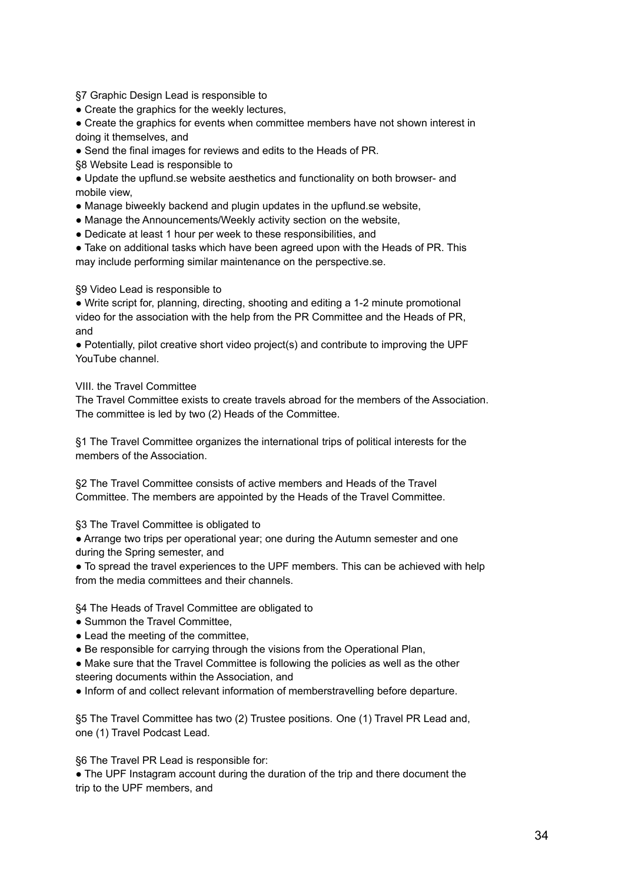§7 Graphic Design Lead is responsible to

• Create the graphics for the weekly lectures,

• Create the graphics for events when committee members have not shown interest in doing it themselves, and

• Send the final images for reviews and edits to the Heads of PR.

§8 Website Lead is responsible to

● Update the upflund.se website aesthetics and functionality on both browser- and mobile view,

- Manage biweekly backend and plugin updates in the upflund. Se website,
- Manage the Announcements/Weekly activity section on the website,
- Dedicate at least 1 hour per week to these responsibilities, and

• Take on additional tasks which have been agreed upon with the Heads of PR. This may include performing similar maintenance on the perspective.se.

# §9 Video Lead is responsible to

● Write script for, planning, directing, shooting and editing a 1-2 minute promotional video for the association with the help from the PR Committee and the Heads of PR, and

● Potentially, pilot creative short video project(s) and contribute to improving the UPF YouTube channel.

VIII. the Travel Committee

The Travel Committee exists to create travels abroad for the members of the Association. The committee is led by two (2) Heads of the Committee.

§1 The Travel Committee organizes the international trips of political interests for the members of the Association.

§2 The Travel Committee consists of active members and Heads of the Travel Committee. The members are appointed by the Heads of the Travel Committee.

§3 The Travel Committee is obligated to

● Arrange two trips per operational year; one during the Autumn semester and one during the Spring semester, and

● To spread the travel experiences to the UPF members. This can be achieved with help from the media committees and their channels.

§4 The Heads of Travel Committee are obligated to

- Summon the Travel Committee,
- Lead the meeting of the committee,

• Be responsible for carrying through the visions from the Operational Plan,

• Make sure that the Travel Committee is following the policies as well as the other steering documents within the Association, and

● Inform of and collect relevant information of memberstravelling before departure.

§5 The Travel Committee has two (2) Trustee positions. One (1) Travel PR Lead and, one (1) Travel Podcast Lead.

§6 The Travel PR Lead is responsible for:

● The UPF Instagram account during the duration of the trip and there document the trip to the UPF members, and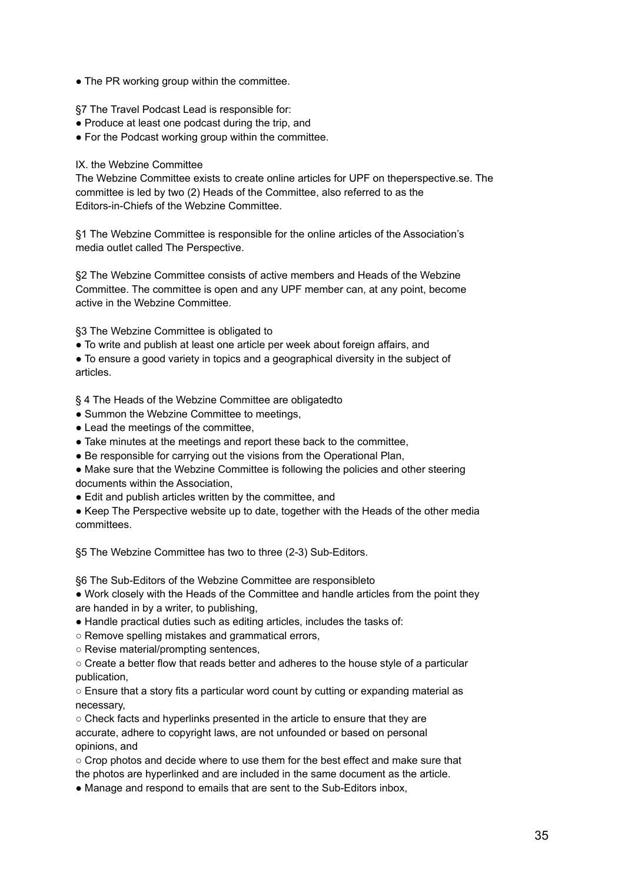- The PR working group within the committee.
- §7 The Travel Podcast Lead is responsible for:
- Produce at least one podcast during the trip, and
- For the Podcast working group within the committee.

# IX. the Webzine Committee

The Webzine Committee exists to create online articles for UPF on theperspective.se. The committee is led by two (2) Heads of the Committee, also referred to as the Editors-in-Chiefs of the Webzine Committee.

§1 The Webzine Committee is responsible for the online articles of the Association's media outlet called The Perspective.

§2 The Webzine Committee consists of active members and Heads of the Webzine Committee. The committee is open and any UPF member can, at any point, become active in the Webzine Committee.

§3 The Webzine Committee is obligated to

● To write and publish at least one article per week about foreign affairs, and

● To ensure a good variety in topics and a geographical diversity in the subject of articles.

§ 4 The Heads of the Webzine Committee are obligatedto

- Summon the Webzine Committee to meetings,
- Lead the meetings of the committee,
- Take minutes at the meetings and report these back to the committee,
- Be responsible for carrying out the visions from the Operational Plan,

• Make sure that the Webzine Committee is following the policies and other steering documents within the Association,

● Edit and publish articles written by the committee, and

• Keep The Perspective website up to date, together with the Heads of the other media committees.

§5 The Webzine Committee has two to three (2-3) Sub-Editors.

§6 The Sub-Editors of the Webzine Committee are responsibleto

• Work closely with the Heads of the Committee and handle articles from the point they are handed in by a writer, to publishing,

- Handle practical duties such as editing articles, includes the tasks of:
- Remove spelling mistakes and grammatical errors,
- Revise material/prompting sentences,

 $\circ$  Create a better flow that reads better and adheres to the house style of a particular publication,

○ Ensure that a story fits a particular word count by cutting or expanding material as necessary,

○ Check facts and hyperlinks presented in the article to ensure that they are accurate, adhere to copyright laws, are not unfounded or based on personal opinions, and

○ Crop photos and decide where to use them for the best effect and make sure that the photos are hyperlinked and are included in the same document as the article.

• Manage and respond to emails that are sent to the Sub-Editors inbox,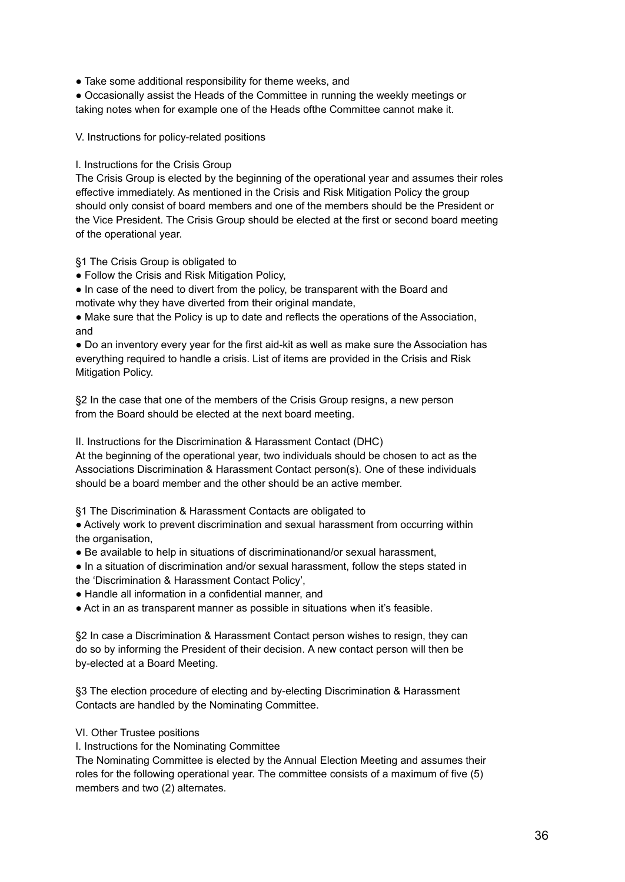• Take some additional responsibility for theme weeks, and

● Occasionally assist the Heads of the Committee in running the weekly meetings or taking notes when for example one of the Heads ofthe Committee cannot make it.

V. Instructions for policy-related positions

# I. Instructions for the Crisis Group

The Crisis Group is elected by the beginning of the operational year and assumes their roles effective immediately. As mentioned in the Crisis and Risk Mitigation Policy the group should only consist of board members and one of the members should be the President or the Vice President. The Crisis Group should be elected at the first or second board meeting of the operational year.

§1 The Crisis Group is obligated to

● Follow the Crisis and Risk Mitigation Policy,

● In case of the need to divert from the policy, be transparent with the Board and motivate why they have diverted from their original mandate,

● Make sure that the Policy is up to date and reflects the operations of the Association, and

● Do an inventory every year for the first aid-kit as well as make sure the Association has everything required to handle a crisis. List of items are provided in the Crisis and Risk Mitigation Policy.

§2 In the case that one of the members of the Crisis Group resigns, a new person from the Board should be elected at the next board meeting.

II. Instructions for the Discrimination & Harassment Contact (DHC)

At the beginning of the operational year, two individuals should be chosen to act as the Associations Discrimination & Harassment Contact person(s). One of these individuals should be a board member and the other should be an active member.

§1 The Discrimination & Harassment Contacts are obligated to

● Actively work to prevent discrimination and sexual harassment from occurring within the organisation,

● Be available to help in situations of discriminationand/or sexual harassment,

● In a situation of discrimination and/or sexual harassment, follow the steps stated in the 'Discrimination & Harassment Contact Policy',

● Handle all information in a confidential manner, and

● Act in an as transparent manner as possible in situations when it's feasible.

§2 In case a Discrimination & Harassment Contact person wishes to resign, they can do so by informing the President of their decision. A new contact person will then be by-elected at a Board Meeting.

§3 The election procedure of electing and by-electing Discrimination & Harassment Contacts are handled by the Nominating Committee.

# VI. Other Trustee positions

I. Instructions for the Nominating Committee

The Nominating Committee is elected by the Annual Election Meeting and assumes their roles for the following operational year. The committee consists of a maximum of five (5) members and two (2) alternates.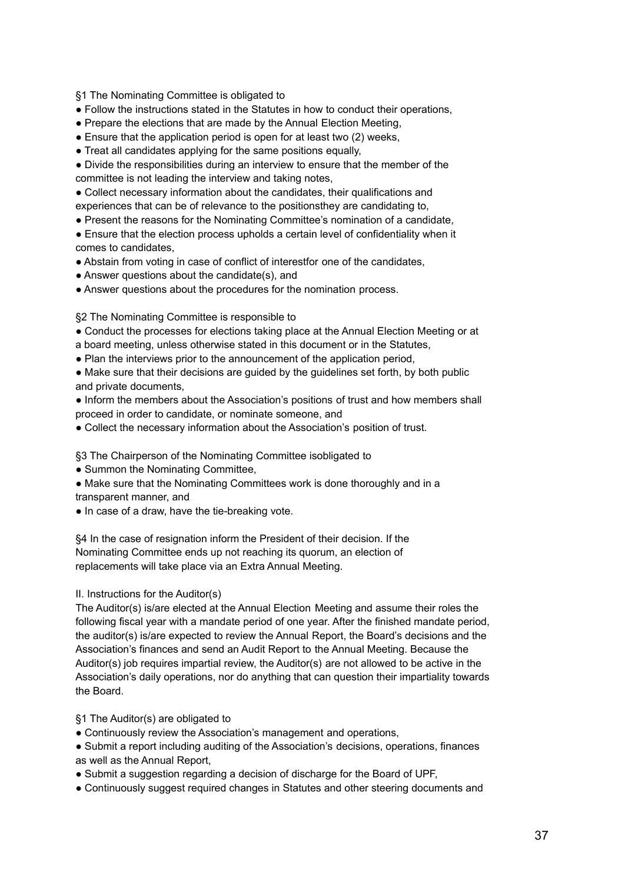§1 The Nominating Committee is obligated to

- Follow the instructions stated in the Statutes in how to conduct their operations,
- Prepare the elections that are made by the Annual Election Meeting,
- Ensure that the application period is open for at least two (2) weeks,
- Treat all candidates applying for the same positions equally,
- Divide the responsibilities during an interview to ensure that the member of the committee is not leading the interview and taking notes,
- Collect necessary information about the candidates, their qualifications and experiences that can be of relevance to the positionsthey are candidating to,
- Present the reasons for the Nominating Committee's nomination of a candidate,
- Ensure that the election process upholds a certain level of confidentiality when it comes to candidates,
- Abstain from voting in case of conflict of interestfor one of the candidates,
- Answer questions about the candidate(s), and
- Answer questions about the procedures for the nomination process.

§2 The Nominating Committee is responsible to

- Conduct the processes for elections taking place at the Annual Election Meeting or at
- a board meeting, unless otherwise stated in this document or in the Statutes,
- Plan the interviews prior to the announcement of the application period,
- Make sure that their decisions are guided by the guidelines set forth, by both public and private documents,
- Inform the members about the Association's positions of trust and how members shall proceed in order to candidate, or nominate someone, and
- Collect the necessary information about the Association's position of trust.

§3 The Chairperson of the Nominating Committee isobligated to

- Summon the Nominating Committee,
- Make sure that the Nominating Committees work is done thoroughly and in a transparent manner, and
- In case of a draw, have the tie-breaking vote.

§4 In the case of resignation inform the President of their decision. If the Nominating Committee ends up not reaching its quorum, an election of replacements will take place via an Extra Annual Meeting.

# II. Instructions for the Auditor(s)

The Auditor(s) is/are elected at the Annual Election Meeting and assume their roles the following fiscal year with a mandate period of one year. After the finished mandate period, the auditor(s) is/are expected to review the Annual Report, the Board's decisions and the Association's finances and send an Audit Report to the Annual Meeting. Because the Auditor(s) job requires impartial review, the Auditor(s) are not allowed to be active in the Association's daily operations, nor do anything that can question their impartiality towards the Board.

§1 The Auditor(s) are obligated to

- Continuously review the Association's management and operations,
- Submit a report including auditing of the Association's decisions, operations, finances as well as the Annual Report,
- Submit a suggestion regarding a decision of discharge for the Board of UPF.
- Continuously suggest required changes in Statutes and other steering documents and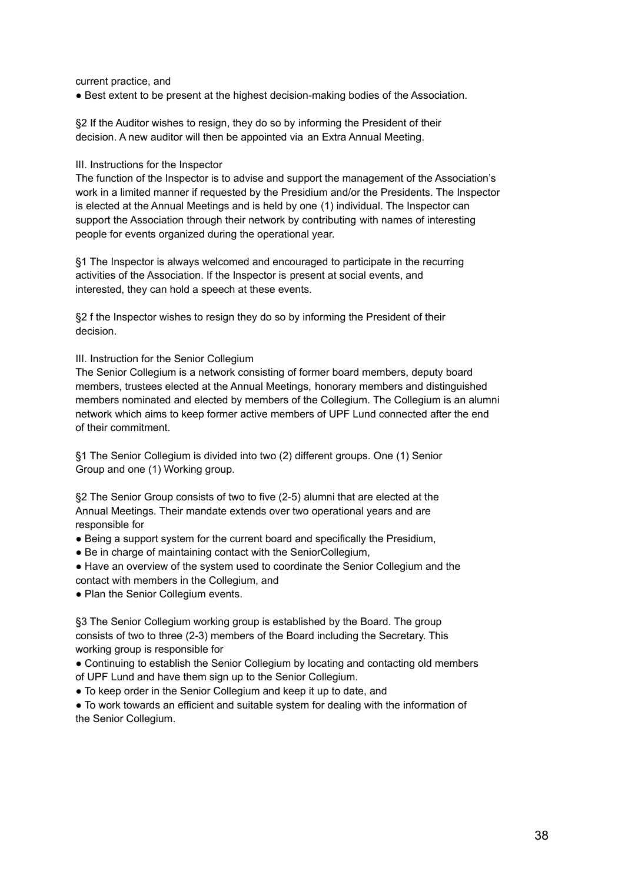current practice, and

● Best extent to be present at the highest decision-making bodies of the Association.

§2 If the Auditor wishes to resign, they do so by informing the President of their decision. A new auditor will then be appointed via an Extra Annual Meeting.

#### III. Instructions for the Inspector

The function of the Inspector is to advise and support the management of the Association's work in a limited manner if requested by the Presidium and/or the Presidents. The Inspector is elected at the Annual Meetings and is held by one (1) individual. The Inspector can support the Association through their network by contributing with names of interesting people for events organized during the operational year.

§1 The Inspector is always welcomed and encouraged to participate in the recurring activities of the Association. If the Inspector is present at social events, and interested, they can hold a speech at these events.

§2 f the Inspector wishes to resign they do so by informing the President of their decision.

#### III. Instruction for the Senior Collegium

The Senior Collegium is a network consisting of former board members, deputy board members, trustees elected at the Annual Meetings, honorary members and distinguished members nominated and elected by members of the Collegium. The Collegium is an alumni network which aims to keep former active members of UPF Lund connected after the end of their commitment.

§1 The Senior Collegium is divided into two (2) different groups. One (1) Senior Group and one (1) Working group.

§2 The Senior Group consists of two to five (2-5) alumni that are elected at the Annual Meetings. Their mandate extends over two operational years and are responsible for

- Being a support system for the current board and specifically the Presidium,
- Be in charge of maintaining contact with the SeniorCollegium,
- Have an overview of the system used to coordinate the Senior Collegium and the contact with members in the Collegium, and
- Plan the Senior Collegium events.

§3 The Senior Collegium working group is established by the Board. The group consists of two to three (2-3) members of the Board including the Secretary. This working group is responsible for

● Continuing to establish the Senior Collegium by locating and contacting old members of UPF Lund and have them sign up to the Senior Collegium.

● To keep order in the Senior Collegium and keep it up to date, and

● To work towards an efficient and suitable system for dealing with the information of the Senior Collegium.